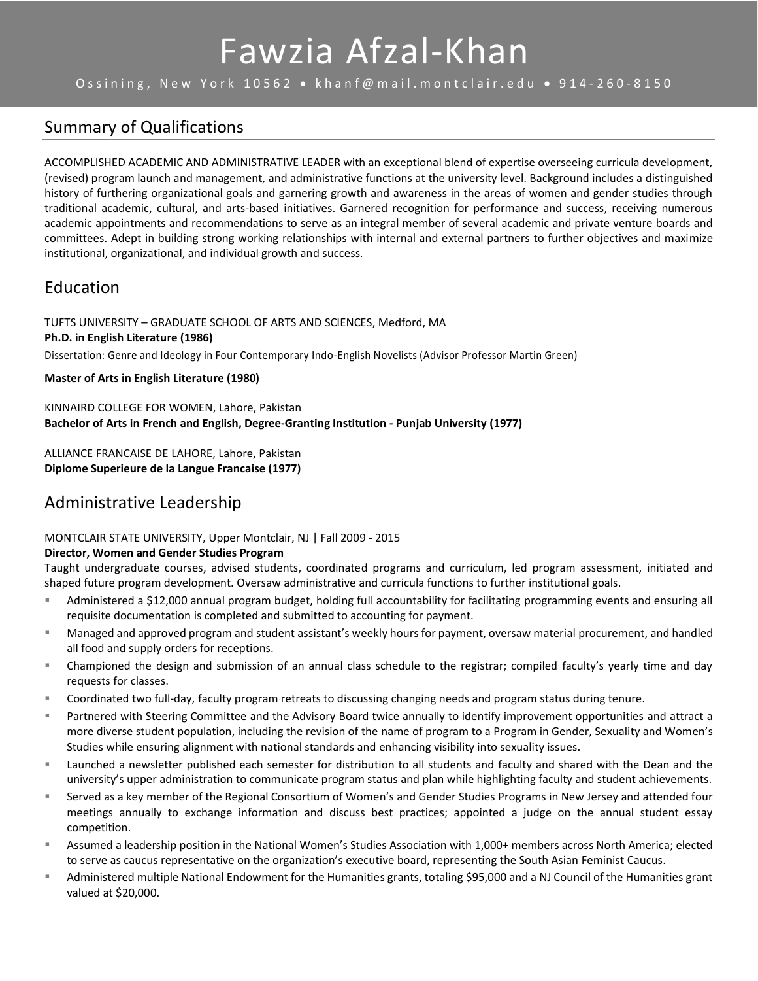# Fawzia Afzal-Khan

Ossining, New York 10562 • khanf@mail.montclair.edu • 914-260-8150

# Summary of Qualifications

ACCOMPLISHED ACADEMIC AND ADMINISTRATIVE LEADER with an exceptional blend of expertise overseeing curricula development, (revised) program launch and management, and administrative functions at the university level. Background includes a distinguished history of furthering organizational goals and garnering growth and awareness in the areas of women and gender studies through traditional academic, cultural, and arts-based initiatives. Garnered recognition for performance and success, receiving numerous academic appointments and recommendations to serve as an integral member of several academic and private venture boards and committees. Adept in building strong working relationships with internal and external partners to further objectives and maximize institutional, organizational, and individual growth and success.

# Education

TUFTS UNIVERSITY – GRADUATE SCHOOL OF ARTS AND SCIENCES, Medford, MA **Ph.D. in English Literature (1986)** Dissertation: Genre and Ideology in Four Contemporary Indo-English Novelists (Advisor Professor Martin Green)

### **Master of Arts in English Literature (1980)**

KINNAIRD COLLEGE FOR WOMEN, Lahore, Pakistan **Bachelor of Arts in French and English, Degree-Granting Institution - Punjab University (1977)**

ALLIANCE FRANCAISE DE LAHORE, Lahore, Pakistan **Diplome Superieure de la Langue Francaise (1977)**

# Administrative Leadership

MONTCLAIR STATE UNIVERSITY, Upper Montclair, NJ | Fall 2009 - 2015

### **Director, Women and Gender Studies Program**

Taught undergraduate courses, advised students, coordinated programs and curriculum, led program assessment, initiated and shaped future program development. Oversaw administrative and curricula functions to further institutional goals.

- Administered a \$12,000 annual program budget, holding full accountability for facilitating programming events and ensuring all requisite documentation is completed and submitted to accounting for payment.
- Managed and approved program and student assistant's weekly hours for payment, oversaw material procurement, and handled all food and supply orders for receptions.
- Championed the design and submission of an annual class schedule to the registrar; compiled faculty's yearly time and day requests for classes.
- Coordinated two full-day, faculty program retreats to discussing changing needs and program status during tenure.
- Partnered with Steering Committee and the Advisory Board twice annually to identify improvement opportunities and attract a more diverse student population, including the revision of the name of program to a Program in Gender, Sexuality and Women's Studies while ensuring alignment with national standards and enhancing visibility into sexuality issues.
- Launched a newsletter published each semester for distribution to all students and faculty and shared with the Dean and the university's upper administration to communicate program status and plan while highlighting faculty and student achievements.
- Served as a key member of the Regional Consortium of Women's and Gender Studies Programs in New Jersey and attended four meetings annually to exchange information and discuss best practices; appointed a judge on the annual student essay competition.
- Assumed a leadership position in the National Women's Studies Association with 1,000+ members across North America; elected to serve as caucus representative on the organization's executive board, representing the South Asian Feminist Caucus.
- **EXED Administered multiple National Endowment for the Humanities grants, totaling \$95,000 and a NJ Council of the Humanities grant** valued at \$20,000.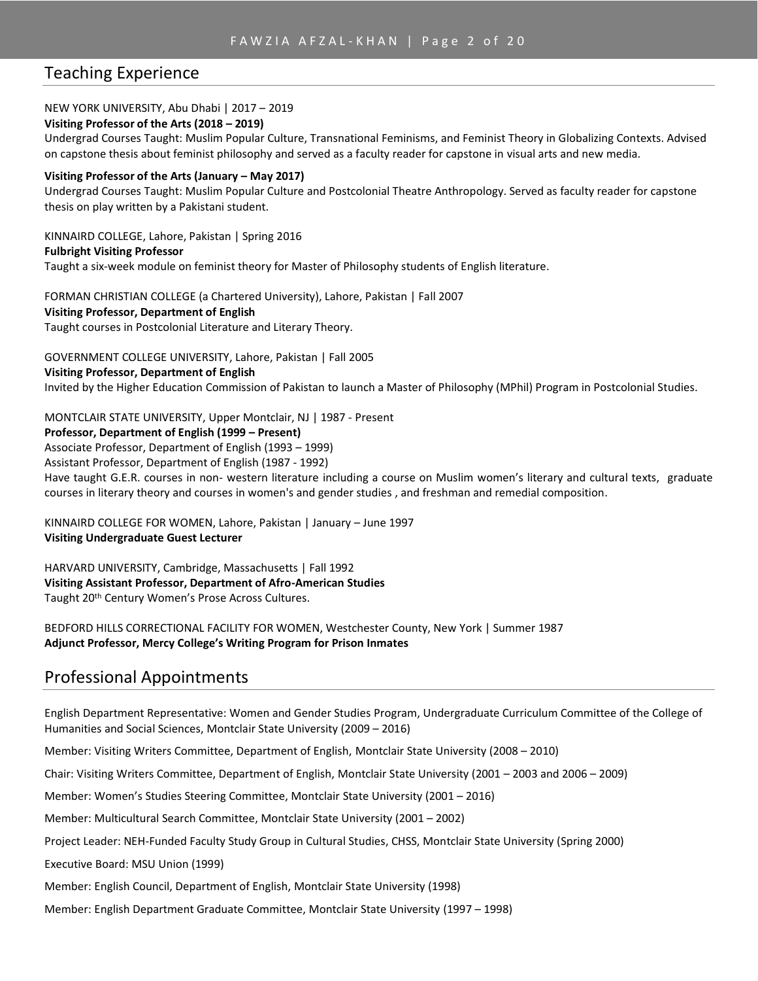# Teaching Experience

### NEW YORK UNIVERSITY, Abu Dhabi | 2017 – 2019

#### **Visiting Professor of the Arts (2018 – 2019)**

Undergrad Courses Taught: Muslim Popular Culture, Transnational Feminisms, and Feminist Theory in Globalizing Contexts. Advised on capstone thesis about feminist philosophy and served as a faculty reader for capstone in visual arts and new media.

#### **Visiting Professor of the Arts (January – May 2017)**

Undergrad Courses Taught: Muslim Popular Culture and Postcolonial Theatre Anthropology. Served as faculty reader for capstone thesis on play written by a Pakistani student.

KINNAIRD COLLEGE, Lahore, Pakistan | Spring 2016

#### **Fulbright Visiting Professor**

Taught a six-week module on feminist theory for Master of Philosophy students of English literature.

FORMAN CHRISTIAN COLLEGE (a Chartered University), Lahore, Pakistan | Fall 2007 **Visiting Professor, Department of English** Taught courses in Postcolonial Literature and Literary Theory.

GOVERNMENT COLLEGE UNIVERSITY, Lahore, Pakistan | Fall 2005

**Visiting Professor, Department of English**

Invited by the Higher Education Commission of Pakistan to launch a Master of Philosophy (MPhil) Program in Postcolonial Studies.

MONTCLAIR STATE UNIVERSITY, Upper Montclair, NJ | 1987 - Present

#### **Professor, Department of English (1999 – Present)**

Associate Professor, Department of English (1993 – 1999)

Assistant Professor, Department of English (1987 - 1992)

Have taught G.E.R. courses in non- western literature including a course on Muslim women's literary and cultural texts, graduate courses in literary theory and courses in women's and gender studies , and freshman and remedial composition.

KINNAIRD COLLEGE FOR WOMEN, Lahore, Pakistan | January – June 1997 **Visiting Undergraduate Guest Lecturer**

HARVARD UNIVERSITY, Cambridge, Massachusetts | Fall 1992 **Visiting Assistant Professor, Department of Afro-American Studies** Taught 20<sup>th</sup> Century Women's Prose Across Cultures.

BEDFORD HILLS CORRECTIONAL FACILITY FOR WOMEN, Westchester County, New York | Summer 1987 **Adjunct Professor, Mercy College's Writing Program for Prison Inmates**

# Professional Appointments

English Department Representative: Women and Gender Studies Program, Undergraduate Curriculum Committee of the College of Humanities and Social Sciences, Montclair State University (2009 – 2016)

Member: Visiting Writers Committee, Department of English, Montclair State University (2008 – 2010)

Chair: Visiting Writers Committee, Department of English, Montclair State University (2001 – 2003 and 2006 – 2009)

Member: Women's Studies Steering Committee, Montclair State University (2001 – 2016)

Member: Multicultural Search Committee, Montclair State University (2001 – 2002)

Project Leader: NEH-Funded Faculty Study Group in Cultural Studies, CHSS, Montclair State University (Spring 2000)

Executive Board: MSU Union (1999)

Member: English Council, Department of English, Montclair State University (1998)

Member: English Department Graduate Committee, Montclair State University (1997 – 1998)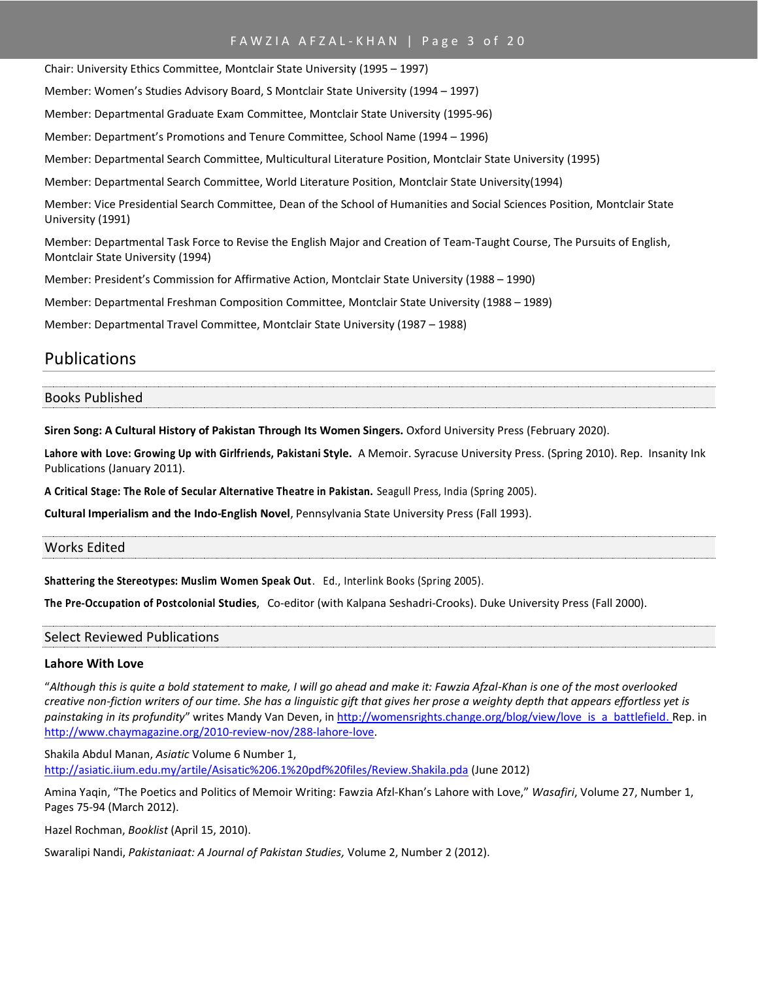### FAWZIA AFZAL-KHAN | Page 3 of 20

Chair: University Ethics Committee, Montclair State University (1995 – 1997) Member: Women's Studies Advisory Board, S Montclair State University (1994 – 1997) Member: Departmental Graduate Exam Committee, Montclair State University (1995-96) Member: Department's Promotions and Tenure Committee, School Name (1994 – 1996) Member: Departmental Search Committee, Multicultural Literature Position, Montclair State University (1995) Member: Departmental Search Committee, World Literature Position, Montclair State University(1994) Member: Vice Presidential Search Committee, Dean of the School of Humanities and Social Sciences Position, Montclair State University (1991) Member: Departmental Task Force to Revise the English Major and Creation of Team-Taught Course, The Pursuits of English, Montclair State University (1994) Member: President's Commission for Affirmative Action, Montclair State University (1988 – 1990)

Member: Departmental Freshman Composition Committee, Montclair State University (1988 – 1989)

Member: Departmental Travel Committee, Montclair State University (1987 – 1988)

# Publications

#### Books Published

**Siren Song: A Cultural History of Pakistan Through Its Women Singers.** Oxford University Press (February 2020).

**Lahore with Love: Growing Up with Girlfriends, Pakistani Style.** A Memoir. Syracuse University Press. (Spring 2010). Rep. Insanity Ink Publications (January 2011).

**A Critical Stage: The Role of Secular Alternative Theatre in Pakistan.** Seagull Press, India (Spring 2005).

**Cultural Imperialism and the Indo-English Novel**, Pennsylvania State University Press (Fall 1993).

# Works Edited

**Shattering the Stereotypes: Muslim Women Speak Out**. Ed., Interlink Books (Spring 2005).

**The Pre-Occupation of Postcolonial Studies**, Co-editor (with Kalpana Seshadri-Crooks). Duke University Press (Fall 2000).

#### Select Reviewed Publications

#### **Lahore With Love**

"*Although this is quite a bold statement to make, I will go ahead and make it: Fawzia Afzal-Khan is one of the most overlooked creative non-fiction writers of our time. She has a linguistic gift that gives her prose a weighty depth that appears effortless yet is*  painstaking in its profundity" writes Mandy Van Deven, i[n http://womensrights.change.org/blog/view/love\\_is\\_a\\_batt](http://womensrights.change.org/blog/view/love_is_a_batt)[lefield.](http://womensrights.change.org/blog/view/love_is_a_battlefield) Rep. in [http://www.chaymagazine.org/2010-review-nov/288-lahore-love.](http://www.chaymagazine.org/2010-review-nov/288-lahore-love)

Shakila Abdul Manan, *Asiatic* Volume 6 Number 1, <http://asiatic.iium.edu.my/artile/Asisatic%206.1%20pdf%20files/Review.Shakila.pda> (June 2012)

Amina Yaqin, "The Poetics and Politics of Memoir Writing: Fawzia Afzl-Khan's Lahore with Love," *Wasafiri*, Volume 27, Number 1, Pages 75-94 (March 2012).

Hazel Rochman, *Booklist* (April 15, 2010).

Swaralipi Nandi, *Pakistaniaat: A Journal of Pakistan Studies,* Volume 2, Number 2 (2012).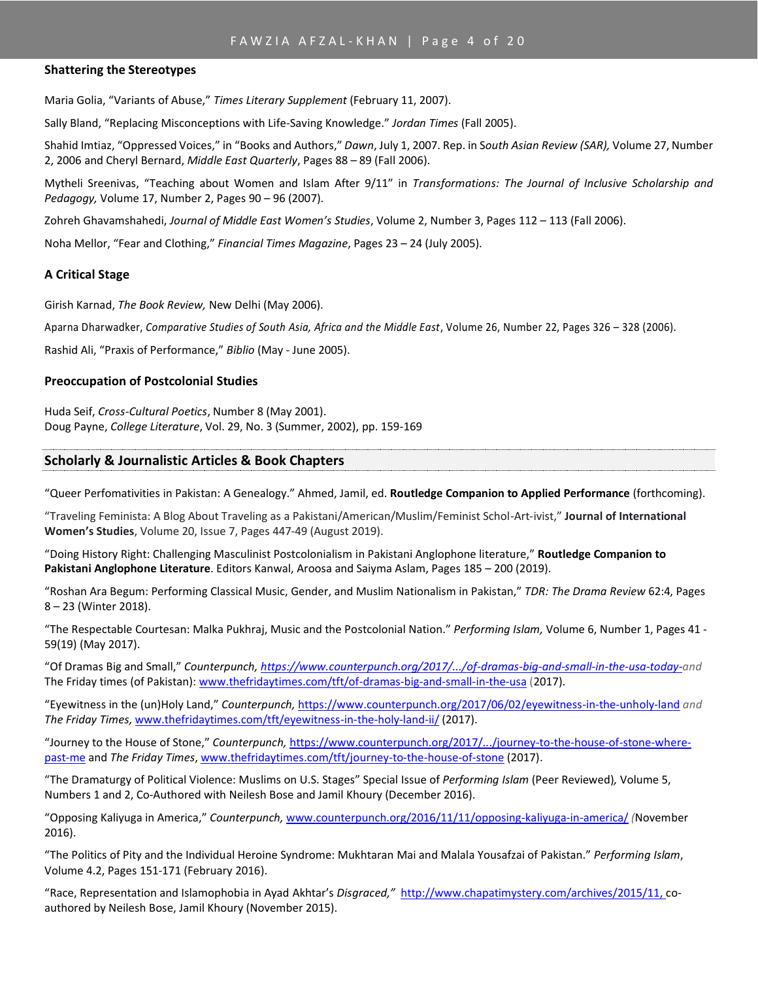### FAWZIA AFZAL-KHAN | Page 4 of 20

#### **Shattering the Stereotypes**

Maria Golia, "Variants of Abuse," *Times Literary Supplement* (February 11, 2007).

Sally Bland, "Replacing Misconceptions with Life-Saving Knowledge." *Jordan Times* (Fall 2005).

Shahid Imtiaz, "Oppressed Voices," in "Books and Authors," *Dawn*, July 1, 2007. Rep. in S*outh Asian Review (SAR),* Volume 27, Number 2, 2006 and Cheryl Bernard, *Middle East Quarterly*, Pages 88 – 89 (Fall 2006).

Mytheli Sreenivas, "Teaching about Women and Islam After 9/11" in *Transformations: The Journal of Inclusive Scholarship and Pedagogy,* Volume 17, Number 2, Pages 90 – 96 (2007).

Zohreh Ghavamshahedi, *Journal of Middle East Women's Studies*, Volume 2, Number 3, Pages 112 – 113 (Fall 2006).

Noha Mellor, "Fear and Clothing," *Financial Times Magazine*, Pages 23 – 24 (July 2005).

### **A Critical Stage**

Girish Karnad, *The Book Review,* New Delhi (May 2006).

Aparna Dharwadker, *Comparative Studies of South Asia, Africa and the Middle East*, Volume 26, Number 22, Pages 326 – 328 (2006).

Rashid Ali, "Praxis of Performance," *Biblio* (May - June 2005).

### **Preoccupation of Postcolonial Studies**

Huda Seif, *Cross-Cultural Poetics*, Number 8 (May 2001). Doug Payne, *College Literature*, Vol. 29, No. 3 (Summer, 2002), pp. 159-169

### **Scholarly & Journalistic Articles & Book Chapters**

"Queer Perfomativities in Pakistan: A Genealogy." Ahmed, Jamil, ed. **Routledge Companion to Applied Performance** (forthcoming).

"Traveling Feminista: A Blog About Traveling as a Pakistani/American/Muslim/Feminist Schol-Art-ivist," **Journal of International Women's Studies**, Volume 20, Issue 7, Pages 447-49 (August 2019).

"Doing History Right: Challenging Masculinist Postcolonialism in Pakistani Anglophone literature," **Routledge Companion to Pakistani Anglophone Literature**. Editors Kanwal, Aroosa and Saiyma Aslam, Pages 185 – 200 (2019).

"Roshan Ara Begum: Performing Classical Music, Gender, and Muslim Nationalism in Pakistan," *TDR: The Drama Review* 62:4, Pages 8 – 23 (Winter 2018).

"The Respectable Courtesan: Malka Pukhraj, Music and the Postcolonial Nation." *[Performing Islam,](https://www.ingentaconnect.com/content/intellect/pi)* Volume 6, Number 1, Pages 41 - 59(19) (May 2017).

"Of Dramas Big and Small," *Counterpunch[, https://www.counterpunch.org/2017/.../of-dramas-big-and-small-in-the-usa-today-a](https://www.counterpunch.org/2017/.../of-dramas-big-and-small-in-the-usa-today-)nd*  The Friday times (of Pakistan): [www.thefridaytimes.com/tft/of-dramas-big-and-small-in-the-usa](http://www.thefridaytimes.com/tft/of-dramas-big-and-small-in-the-usa) (2017).

"Eyewitness in the (un)Holy Land," *Counterpunch,* <https://www.counterpunch.org/2017/06/02/eyewitness-in-the-unholy-land> *and The Friday Times,* [www.thefridaytimes.com/tft/eyewitness-in-the-holy-land-ii/](http://www.thefridaytimes.com/tft/eyewitness-in-the-holy-land-ii/) (2017).

"Journey to the House of Stone," *Counterpunch,* [https://www.counterpunch.org/2017/.../journey-to-the-house-of-stone-where](https://www.counterpunch.org/2017/.../journey-to-the-house-of-stone-where-past-me)[past-me](https://www.counterpunch.org/2017/.../journey-to-the-house-of-stone-where-past-me) and *The Friday Times*, [www.thefridaytimes.com/tft/journey-to-the-house-of-stone](http://www.thefridaytimes.com/tft/journey-to-the-house-of-stone) (2017).

"The Dramaturgy of Political Violence: Muslims on U.S. Stages" Special Issue of *Performing Islam* (Peer Reviewed)*,* Volume 5, Numbers 1 and 2, Co-Authored with Neilesh Bose and Jamil Khoury (December 2016).

"Opposing Kaliyuga in America," *Counterpunch,* [www.counterpunch.org/2016/11/11/opposing-kaliyuga-in-america/](http://www.counterpunch.org/2016/11/11/opposing-kaliyuga-in-america/) *(*November 2016).

"The Politics of Pity and the Individual Heroine Syndrome: Mukhtaran Mai and Malala Yousafzai of Pakistan." *Performing Islam*, Volume 4.2, Pages 151-171 (February 2016).

"Race, Representation and Islamophobia in Ayad Akhtar's *Disgraced,"* [http://www.chapatimystery.com/archives/2015/11,](http://www.chapatimystery.com/archives/2015/11) coauthored by Neilesh Bose, Jamil Khoury (November 2015).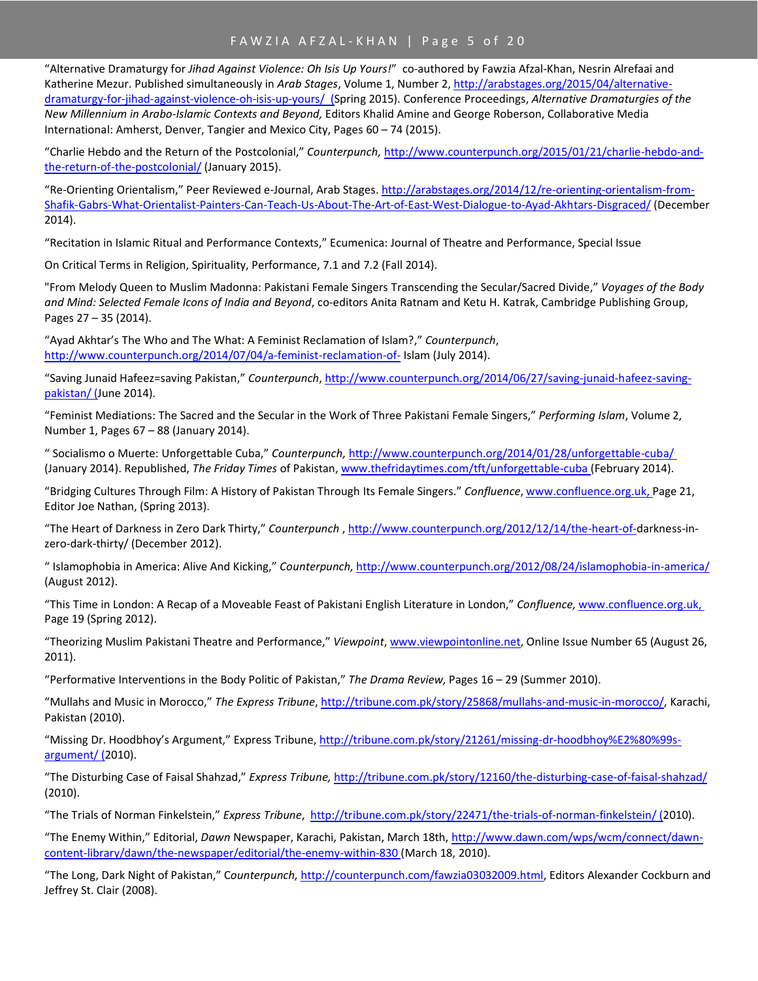"Alternative Dramaturgy for *Jihad Against Violence: Oh Isis Up Yours!*" co-authored by Fawzia Afzal-Khan, Nesrin Alrefaai and Katherine Mezur. Published simultaneously in *Arab Stages*, Volume 1, Number 2[, http://arabstages.org/2015/04/alternative](http://arabstages.org/2015/04/alternative-dramaturgy-for-jihad-against-violence-oh-isis-up-yours/)[dramaturgy-for-jihad-against-violence-oh-isis-up-yours/](http://arabstages.org/2015/04/alternative-dramaturgy-for-jihad-against-violence-oh-isis-up-yours/) (Spring 2015). Conference Proceedings, *Alternative Dramaturgies of the New Millennium in Arabo-Islamic Contexts and Beyond,* Editors Khalid Amine and George Roberson, Collaborative Media International: Amherst, Denver, Tangier and Mexico City, Pages 60 – 74 (2015).

"Charlie Hebdo and the Return of the Postcolonial," *Counterpunch,* [http://www.counterpunch.org/2015/01/21/charlie-hebdo-and](http://www.counterpunch.org/2015/01/21/charlie-hebdo-and-the-return-of-the-postcolonial/)[the-return-of-the-postcolonial/](http://www.counterpunch.org/2015/01/21/charlie-hebdo-and-the-return-of-the-postcolonial/) (January 2015).

"Re-Orienting Orientalism," Peer Reviewed e-Journal, Arab Stages[. http://arabstages.org/2014/12/re-orienting-orientalism-from-](http://arabstages.org/2014/12/re-orienting-orientalism-from-Shafik-Gabrs-What-Orientalist-Painters-Can-Teach-Us-About-The-Art-of-East-West-Dialogue-to-Ayad-Akhtars-Disgraced/)[Shafik-Gabrs-What-Orientalist-Painters-Can-Teach-Us-About-The-Art-of-East-West-Dialogue-to-Ayad-Akhtars-Disgraced/](http://arabstages.org/2014/12/re-orienting-orientalism-from-Shafik-Gabrs-What-Orientalist-Painters-Can-Teach-Us-About-The-Art-of-East-West-Dialogue-to-Ayad-Akhtars-Disgraced/) (December 2014).

"Recitation in Islamic Ritual and Performance Contexts," Ecumenica: Journal of Theatre and Performance, Special Issue

On Critical Terms in Religion, Spirituality, Performance, 7.1 and 7.2 (Fall 2014).

"From Melody Queen to Muslim Madonna: Pakistani Female Singers Transcending the Secular/Sacred Divide," *Voyages of the Body and Mind: Selected Female Icons of India and Beyond*, co-editors Anita Ratnam and Ketu H. Katrak, Cambridge Publishing Group, Pages 27 – 35 (2014).

"Ayad Akhtar's The Who and The What: A Feminist Reclamation of Islam?," *Counterpunch*, <http://www.counterpunch.org/2014/07/04/a-feminist-reclamation-of-> Islam (July 2014).

"Saving Junaid Hafeez=saving Pakistan," *Counterpunch*[, http://www.counterpunch.org/2014/06/27/saving-junaid-hafeez-saving](http://www.counterpunch.org/2014/06/27/saving-junaid-hafeez-saving-pakistan/)[pakistan/](http://www.counterpunch.org/2014/06/27/saving-junaid-hafeez-saving-pakistan/) (June 2014).

"Feminist Mediations: The Sacred and the Secular in the Work of Three Pakistani Female Singers," *Performing Islam*, Volume 2, Number 1, Pages 67 – 88 (January 2014).

" Socialismo o Muerte: Unforgettable Cuba," *Counterpunch,* <http://www.counterpunch.org/2014/01/28/unforgettable-cuba/> (January 2014). Republished, *The Friday Times* of Pakistan[, www.thefridaytimes.com/tft/unforgettable-cuba](http://www.thefridaytimes.com/tft/unforgettable-cuba) (February 2014).

"Bridging Cultures Through Film: A History of Pakistan Through Its Female Singers." *Confluence*[, www.confluence.org.uk,](http://www.confluence.org.uk/) Page 21, Editor Joe Nathan, (Spring 2013).

"The Heart of Darkness in Zero Dark Thirty," *Counterpunch* , [http://www.counterpunch.org/2012/12/14/the-heart-of-d](http://www.counterpunch.org/2012/12/14/the-heart-of-)arkness-inzero-dark-thirty/ (December 2012).

" Islamophobia in America: Alive And Kicking," *Counterpunch,* <http://www.counterpunch.org/2012/08/24/islamophobia-in-america/> (August 2012).

"This Time in London: A Recap of a Moveable Feast of Pakistani English Literature in London," *Confluence,* [www.confluence.org.uk,](http://www.confluence.org.uk/)  Page 19 (Spring 2012).

"Theorizing Muslim Pakistani Theatre and Performance," *Viewpoint*, [www.viewpointonline.net,](http://www.viewpointonline.net/) Online Issue Number 65 (August 26, 2011).

"Performative Interventions in the Body Politic of Pakistan," *The Drama Review,* Pages 16 – 29 (Summer 2010).

"Mullahs and Music in Morocco," *The Express Tribune*[, http://tribune.com.pk/story/25868/mullahs-and-music-in-morocco/,](http://tribune.com.pk/story/25868/mullahs-and-music-in-morocco/) Karachi, Pakistan (2010).

"Missing Dr. Hoodbhoy's Argument," Express Tribune[, http://tribune.com.pk/story/21261/missing-dr-hoodbhoy%E2%80%99s](http://tribune.com.pk/story/21261/missing-dr-hoodbhoy%E2%80%99s-argument/)[argument/](http://tribune.com.pk/story/21261/missing-dr-hoodbhoy%E2%80%99s-argument/) (2010).

"The Disturbing Case of Faisal Shahzad," *Express Tribune,* <http://tribune.com.pk/story/12160/the-disturbing-case-of-faisal-shahzad/> (2010).

"The Trials of Norman Finkelstein," *Express Tribune*,<http://tribune.com.pk/story/22471/the-trials-of-norman-finkelstein/> (2010).

"The Enemy Within," Editorial, *Dawn* Newspaper, Karachi, Pakistan, March 18th, [http://www.dawn.com/wps/wcm/connect/dawn](http://www.dawn.com/wps/wcm/connect/dawn-content-)[content-l](http://www.dawn.com/wps/wcm/connect/dawn-content-)[ibrary/dawn/the-newspaper/editorial/the-enemy-within-830](http://www.dawn.com/wps/wcm/connect/dawn-content-library/dawn/the-newspaper/editorial/the-enemy-within-830) (March 18, 2010).

"The Long, Dark Night of Pakistan," C*ounterpunch,* [http://counterpunch.com/fawzia03032009.html,](http://counterpunch.com/fawzia03032009.html) Editors Alexander Cockburn and Jeffrey St. Clair (2008).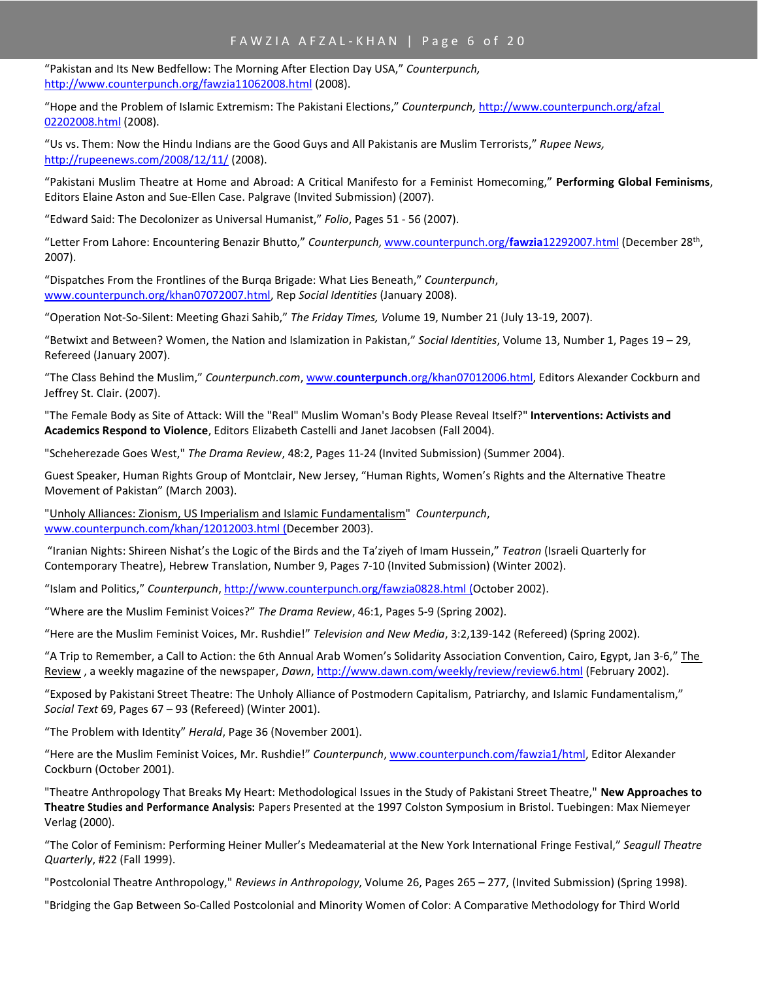# FAWZIA AFZAL-KHAN | Page 6 of 20

"Pakistan and Its New Bedfellow: The Morning After Election Day USA," *Counterpunch,* <http://www.counterpunch.org/fawzia11062008.html> (2008).

"Hope and the Problem of Islamic Extremism: The Pakistani Elections," *Counterpunch,* [http://www.counterpunch.org/afzal](http://www.counterpunch.org/afzal%2002202008.html)  [02202008.html](http://www.counterpunch.org/afzal%2002202008.html) (2008).

"Us vs. Them: Now the Hindu Indians are the Good Guys and All Pakistanis are Muslim Terrorists," *Rupee News,*  <http://rupeenews.com/2008/12/11/> (2008).

"Pakistani Muslim Theatre at Home and Abroad: A Critical Manifesto for a Feminist Homecoming," **Performing Global Feminisms**, Editors Elaine Aston and Sue-Ellen Case. Palgrave (Invited Submission) (2007).

"Edward Said: The Decolonizer as Universal Humanist," *Folio*, Pages 51 - 56 (2007).

"Letter From Lahore: Encountering Benazir Bhutto," *Counterpunch,* [www.counterpunch.org/](http://www.counterpunch.org/fawzia12292007.html)**fawzia**12292007.html (December 28th , 2007).

"Dispatches From the Frontlines of the Burqa Brigade: What Lies Beneath," *Counterpunch*, [www.counterpunch.org/khan07072007.html,](http://www.counterpunch.org/khan07072007.html) Rep *Social Identities* (January 2008).

"Operation Not-So-Silent: Meeting Ghazi Sahib," *The Friday Times, V*olume 19, Number 21 (July 13-19, 2007).

"Betwixt and Between? Women, the Nation and Islamization in Pakistan," *Social Identities*, Volume 13, Number 1, Pages 19 – 29, Refereed (January 2007).

"The Class Behind the Muslim," *Counterpunch.com*, www.**counterpunch**[.org/khan07012006.html,](http://www.counterpunch.org/khan07012006.html) Editors Alexander Cockburn and Jeffrey St. Clair. (2007).

"The Female Body as Site of Attack: Will the "Real" Muslim Woman's Body Please Reveal Itself?" **Interventions: Activists and Academics Respond to Violence**, Editors Elizabeth Castelli and Janet Jacobsen (Fall 2004).

"Scheherezade Goes West," *The Drama Review*, 48:2, Pages 11-24 (Invited Submission) (Summer 2004).

Guest Speaker, Human Rights Group of Montclair, New Jersey, "Human Rights, Women's Rights and the Alternative Theatre Movement of Pakistan" (March 2003).

["Unholy Alliances: Zionism, US Imperialism and Islamic Fundamentalism"](http://www.counterpunch.com/khan12012003.html) *Counterpunch*, [www.counterpunch.com/khan/12012003.html](http://www.counterpunch.com/khan/12012003.html) (December 2003).

"Iranian Nights: Shireen Nishat's the Logic of the Birds and the Ta'ziyeh of Imam Hussein," *Teatron* (Israeli Quarterly for Contemporary Theatre), Hebrew Translation, Number 9, Pages 7-10 (Invited Submission) (Winter 2002).

"Islam and Politics," *Counterpunch*[, http://www.counterpunch.org/fawzia0828.html](http://www.counterpunch.org/fawzia0828.html) (October 2002).

"Where are the Muslim Feminist Voices?" *The Drama Review*, 46:1, Pages 5-9 (Spring 2002).

"Here are the Muslim Feminist Voices, Mr. Rushdie!" *Television and New Media*, 3:2,139-142 (Refereed) (Spring 2002).

"A Trip to Remember, a Call to Action: the 6th Annual Arab Women's Solidarity Association Convention, Cairo, Egypt, Jan 3-6," The Review , a weekly magazine of the newspaper, *Dawn*[, http://www.dawn.com/weekly/review/review6.html](http://www.dawn.com/weekly/review/review6.html) (February 2002).

"Exposed by Pakistani Street Theatre: The Unholy Alliance of Postmodern Capitalism, Patriarchy, and Islamic Fundamentalism," *Social Text* 69, Pages 67 – 93 (Refereed) (Winter 2001).

"The Problem with Identity" *Herald*, Page 36 (November 2001).

"Here are the Muslim Feminist Voices, Mr. Rushdie!" *Counterpunch*, www.counterpunch.com/fawzia1/html, Editor Alexander Cockburn (October 2001).

"Theatre Anthropology That Breaks My Heart: Methodological Issues in the Study of Pakistani Street Theatre," **New Approaches to Theatre Studies and Performance Analysis:** Papers Presented at the 1997 Colston Symposium in Bristol. Tuebingen: Max Niemeyer Verlag (2000).

"The Color of Feminism: Performing Heiner Muller's Medeamaterial at the New York International Fringe Festival," *Seagull Theatre Quarterly*, #22 (Fall 1999).

"Postcolonial Theatre Anthropology," *Reviews in Anthropology*, Volume 26, Pages 265 – 277, (Invited Submission) (Spring 1998).

"Bridging the Gap Between So-Called Postcolonial and Minority Women of Color: A Comparative Methodology for Third World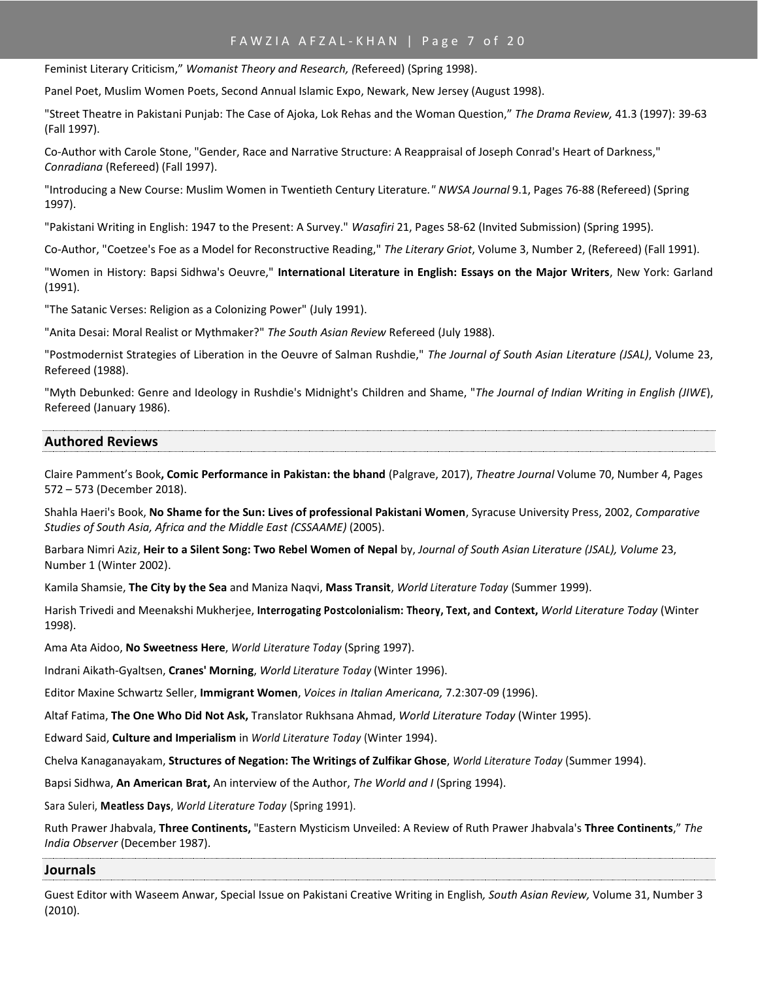# FAWZIA AFZAL-KHAN | Page 7 of 20

Feminist Literary Criticism," *Womanist Theory and Research, (*Refereed) (Spring 1998).

Panel Poet, Muslim Women Poets, Second Annual Islamic Expo, Newark, New Jersey (August 1998).

"Street Theatre in Pakistani Punjab: The Case of Ajoka, Lok Rehas and the Woman Question," *The Drama Review,* 41.3 (1997): 39-63 (Fall 1997).

Co-Author with Carole Stone, "Gender, Race and Narrative Structure: A Reappraisal of Joseph Conrad's Heart of Darkness," *Conradiana* (Refereed) (Fall 1997).

"Introducing a New Course: Muslim Women in Twentieth Century Literature*." NWSA Journal* 9.1, Pages 76-88 (Refereed) (Spring 1997).

"Pakistani Writing in English: 1947 to the Present: A Survey." *Wasafiri* 21, Pages 58-62 (Invited Submission) (Spring 1995).

Co-Author, "Coetzee's Foe as a Model for Reconstructive Reading," *The Literary Griot*, Volume 3, Number 2, (Refereed) (Fall 1991).

"Women in History: Bapsi Sidhwa's Oeuvre," **International Literature in English: Essays on the Major Writers**, New York: Garland (1991).

"The Satanic Verses: Religion as a Colonizing Power" (July 1991).

"Anita Desai: Moral Realist or Mythmaker?" *The South Asian Review* Refereed (July 1988).

"Postmodernist Strategies of Liberation in the Oeuvre of Salman Rushdie," *The Journal of South Asian Literature (JSAL)*, Volume 23, Refereed (1988).

"Myth Debunked: Genre and Ideology in Rushdie's Midnight's Children and Shame, "*The Journal of Indian Writing in English (JIWE*), Refereed (January 1986).

#### **Authored Reviews**

Claire Pamment's Book**, Comic Performance in Pakistan: the bhand** (Palgrave, 2017), *Theatre Journal* Volume 70, Number 4, Pages 572 – 573 (December 2018).

Shahla Haeri's Book, **No Shame for the Sun: Lives of professional Pakistani Women**, Syracuse University Press, 2002, *Comparative Studies of South Asia, Africa and the Middle East (CSSAAME)* (2005).

Barbara Nimri Aziz, **Heir to a Silent Song: Two Rebel Women of Nepal** by, *Journal of South Asian Literature (JSAL), Volume* 23, Number 1 (Winter 2002).

Kamila Shamsie, **The City by the Sea** and Maniza Naqvi, **Mass Transit**, *World Literature Today* (Summer 1999).

Harish Trivedi and Meenakshi Mukherjee, **Interrogating Postcolonialism: Theory, Text, and Context,** *World Literature Today* (Winter 1998).

Ama Ata Aidoo, **No Sweetness Here**, *World Literature Today* (Spring 1997).

Indrani Aikath-Gyaltsen, **Cranes' Morning**, *World Literature Today* (Winter 1996).

Editor Maxine Schwartz Seller, **Immigrant Women**, *Voices in Italian Americana,* 7.2:307-09 (1996).

Altaf Fatima, **The One Who Did Not Ask,** Translator Rukhsana Ahmad, *World Literature Today* (Winter 1995).

Edward Said, **Culture and Imperialism** in *World Literature Today* (Winter 1994).

Chelva Kanaganayakam, **Structures of Negation: The Writings of Zulfikar Ghose**, *World Literature Today* (Summer 1994).

Bapsi Sidhwa, **An American Brat,** An interview of the Author, *The World and I* (Spring 1994).

Sara Suleri, **Meatless Days**, *World Literature Today* (Spring 1991).

Ruth Prawer Jhabvala, **Three Continents,** "Eastern Mysticism Unveiled: A Review of Ruth Prawer Jhabvala's **Three Continents**," *The India Observer* (December 1987).

#### **Journals**

Guest Editor with Waseem Anwar, Special Issue on Pakistani Creative Writing in English*, South Asian Review,* Volume 31, Number 3 (2010).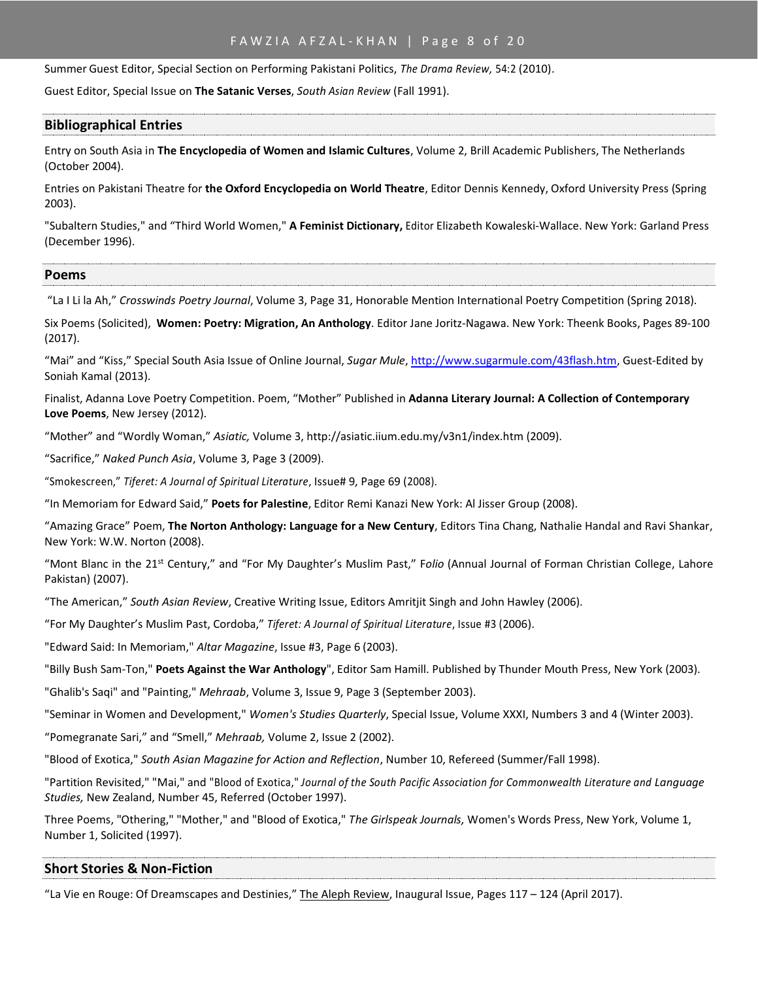### FAWZIA AFZAL-KHAN | Page 8 of 20

Summer Guest Editor, Special Section on Performing Pakistani Politics, *The Drama Review,* 54:2 (2010).

Guest Editor, Special Issue on **The Satanic Verses**, *South Asian Review* (Fall 1991).

#### **Bibliographical Entries**

Entry on South Asia in **The Encyclopedia of Women and Islamic Cultures**, Volume 2, Brill Academic Publishers, The Netherlands (October 2004).

Entries on Pakistani Theatre for **the Oxford Encyclopedia on World Theatre**, Editor Dennis Kennedy, Oxford University Press (Spring 2003).

"Subaltern Studies," and "Third World Women," **A Feminist Dictionary,** Editor Elizabeth Kowaleski-Wallace. New York: Garland Press (December 1996).

#### **Poems**

"La I Li la Ah," *Crosswinds Poetry Journal*, Volume 3, Page 31, Honorable Mention International Poetry Competition (Spring 2018).

Six Poems (Solicited), **Women: Poetry: Migration, An Anthology**. Editor Jane Joritz-Nagawa. New York: Theenk Books, Pages 89-100 (2017).

"Mai" and "Kiss," Special South Asia Issue of Online Journal, *Sugar Mule*, [http://www.sugarmule.com/43flash.htm,](http://www.sugarmule.com/43flash.htm) Guest-Edited by Soniah Kamal (2013).

Finalist, Adanna Love Poetry Competition. Poem, "Mother" Published in **Adanna Literary Journal: A Collection of Contemporary Love Poems**, New Jersey (2012).

"Mother" and "Wordly Woman," *Asiatic,* Volume 3[, http://asiatic.iium.edu.my/v3n1/index.htm](http://asiatic.iium.edu.my/v3n1/index.htm) (2009).

"Sacrifice," *Naked Punch Asia*, Volume 3, Page 3 (2009).

"Smokescreen," *Tiferet: A Journal of Spiritual Literature*, Issue# 9, Page 69 (2008).

"In Memoriam for Edward Said," **Poets for Palestine**, Editor Remi Kanazi New York: Al Jisser Group (2008).

"Amazing Grace" Poem, **The Norton Anthology: Language for a New Century**, Editors Tina Chang, Nathalie Handal and Ravi Shankar, New York: W.W. Norton (2008).

"Mont Blanc in the 21st Century," and "For My Daughter's Muslim Past," F*olio* (Annual Journal of Forman Christian College, Lahore Pakistan) (2007).

"The American," *South Asian Review*, Creative Writing Issue, Editors Amritjit Singh and John Hawley (2006).

"For My Daughter's Muslim Past, Cordoba," *Tiferet: A Journal of Spiritual Literature*, Issue #3 (2006).

"Edward Said: In Memoriam," *Altar Magazine*, Issue #3, Page 6 (2003).

"Billy Bush Sam-Ton," **Poets Against the War Anthology**", Editor Sam Hamill. Published by Thunder Mouth Press, New York (2003).

"Ghalib's Saqi" and "Painting," *Mehraab*, Volume 3, Issue 9, Page 3 (September 2003).

"Seminar in Women and Development," *Women's Studies Quarterly*, Special Issue, Volume XXXI, Numbers 3 and 4 (Winter 2003).

"Pomegranate Sari," and "Smell," *Mehraab,* Volume 2, Issue 2 (2002).

"Blood of Exotica," *South Asian Magazine for Action and Reflection*, Number 10, Refereed (Summer/Fall 1998).

"Partition Revisited," "Mai," and "Blood of Exotica," *Journal of the South Pacific Association for Commonwealth Literature and Language Studies,* New Zealand, Number 45, Referred (October 1997).

Three Poems, "Othering," "Mother," and "Blood of Exotica," *The Girlspeak Journals,* Women's Words Press, New York, Volume 1, Number 1, Solicited (1997).

#### **Short Stories & Non-Fiction**

"La Vie en Rouge: Of Dreamscapes and Destinies," The Aleph Review, Inaugural Issue, Pages 117 – 124 (April 2017).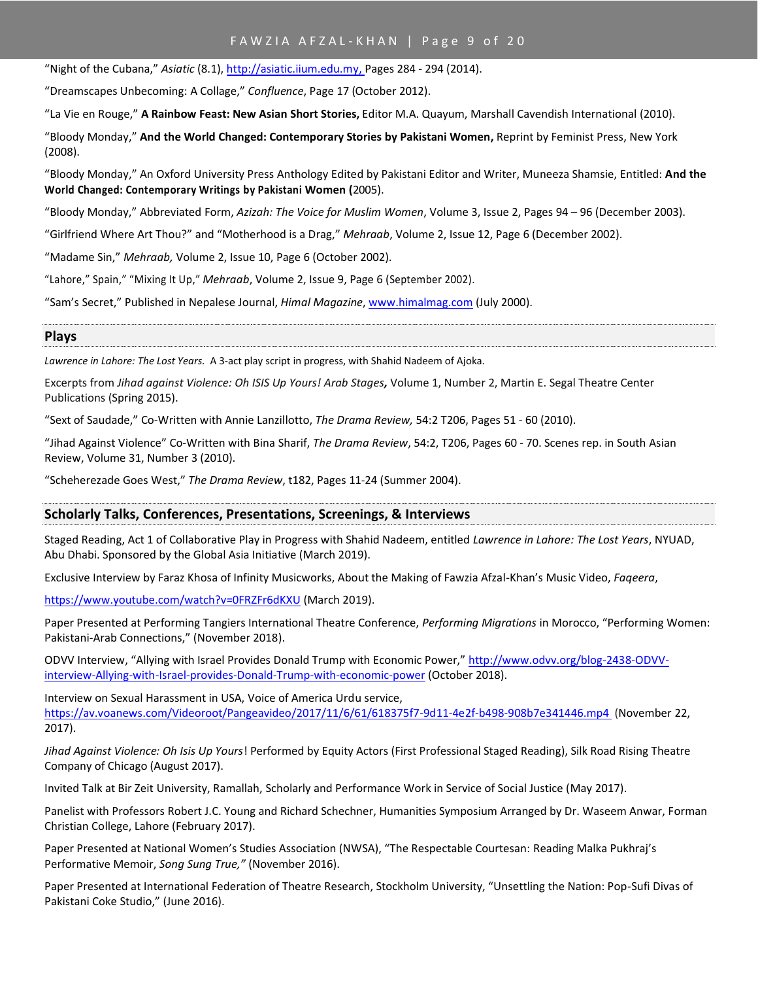# FAWZIA AFZAL-KHAN | Page 9 of 20

"Night of the Cubana," *Asiatic* (8.1), [http://asiatic.iium.edu.my,](http://asiatic.iium.edu.my/) Pages 284 - 294 (2014).

"Dreamscapes Unbecoming: A Collage," *Confluence*, Page 17 (October 2012).

"La Vie en Rouge," **A Rainbow Feast: New Asian Short Stories,** Editor M.A. Quayum, Marshall Cavendish International (2010).

"Bloody Monday," **And the World Changed: Contemporary Stories by Pakistani Women,** Reprint by Feminist Press, New York (2008).

"Bloody Monday," An Oxford University Press Anthology Edited by Pakistani Editor and Writer, Muneeza Shamsie, Entitled: **And the World Changed: Contemporary Writings by Pakistani Women (**2005).

"Bloody Monday," Abbreviated Form, *Azizah: The Voice for Muslim Women*, Volume 3, Issue 2, Pages 94 – 96 (December 2003).

"Girlfriend Where Art Thou?" and "Motherhood is a Drag," *Mehraab*, Volume 2, Issue 12, Page 6 (December 2002).

"Madame Sin," *Mehraab,* Volume 2, Issue 10, Page 6 (October 2002).

"Lahore," Spain," "Mixing It Up," *Mehraab*, Volume 2, Issue 9, Page 6 (September 2002).

"Sam's Secret," Published in Nepalese Journal, *Himal Magazine*[, www.himalmag.com](http://www.himalmag.com/) (July 2000).

#### **Plays**

*Lawrence in Lahore: The Lost Years.* A 3-act play script in progress, with Shahid Nadeem of Ajoka.

Excerpts from *[Jihad against Violence: Oh ISIS Up Yours!](http://arabstages.org/2015/04/excerpts-from-jihad-against-violence-oh-isis-up-yours/) Arab Stages,* Volume 1, Number 2, Martin E. Segal Theatre Center Publications (Spring 2015).

"Sext of Saudade," Co-Written with Annie Lanzillotto, *The Drama Review,* 54:2 T206, Pages 51 - 60 (2010).

"Jihad Against Violence" Co-Written with Bina Sharif, *The Drama Review*, 54:2, T206, Pages 60 - 70. Scenes rep. in South Asian Review, Volume 31, Number 3 (2010).

"Scheherezade Goes West," *The Drama Review*, t182, Pages 11-24 (Summer 2004).

### **Scholarly Talks, Conferences, Presentations, Screenings, & Interviews**

Staged Reading, Act 1 of Collaborative Play in Progress with Shahid Nadeem, entitled *Lawrence in Lahore: The Lost Years*, NYUAD, Abu Dhabi. Sponsored by the Global Asia Initiative (March 2019).

Exclusive Interview by Faraz Khosa of Infinity Musicworks, About the Making of Fawzia Afzal-Khan's Music Video, *Faqeera*,

[https://www.youtube.com/watch?v=0FRZFr6dKXU](https://www.youtube.com/watch?v=0FRZFr6dKXU%20) (March 2019).

Paper Presented at Performing Tangiers International Theatre Conference, *Performing Migrations* in Morocco, "Performing Women: Pakistani-Arab Connections," (November 2018).

ODVV Interview, "Allying with Israel Provides Donald Trump with Economic Power," [http://www.odvv.org/blog-2438-ODVV](http://www.odvv.org/blog-2438-ODVV-interview-Allying-with-Israel-provides-Donald-Trump-with-economic-power)[interview-Allying-with-Israel-provides-Donald-Trump-with-economic-power](http://www.odvv.org/blog-2438-ODVV-interview-Allying-with-Israel-provides-Donald-Trump-with-economic-power) (October 2018).

Interview on Sexual Harassment in USA, Voice of America Urdu service, [https://av.voanews.com/Videoroot/Pangeavideo/2017/11/6/61/618375f7-9d11-4e2f-b498-908b7e341446.mp4 \(](https://av.voanews.com/Videoroot/Pangeavideo/2017/11/6/61/618375f7-9d11-4e2f-b498-908b7e341446.mp4)November 22, 2017).

*Jihad Against Violence: Oh Isis Up Yours*! Performed by Equity Actors (First Professional Staged Reading), Silk Road Rising Theatre Company of Chicago (August 2017).

Invited Talk at Bir Zeit University, Ramallah, Scholarly and Performance Work in Service of Social Justice (May 2017).

Panelist with Professors Robert J.C. Young and Richard Schechner, Humanities Symposium Arranged by Dr. Waseem Anwar, Forman Christian College, Lahore (February 2017).

Paper Presented at National Women's Studies Association (NWSA), "The Respectable Courtesan: Reading Malka Pukhraj's Performative Memoir, *Song Sung True,"* (November 2016).

Paper Presented at International Federation of Theatre Research, Stockholm University, "Unsettling the Nation: Pop-Sufi Divas of Pakistani Coke Studio," (June 2016).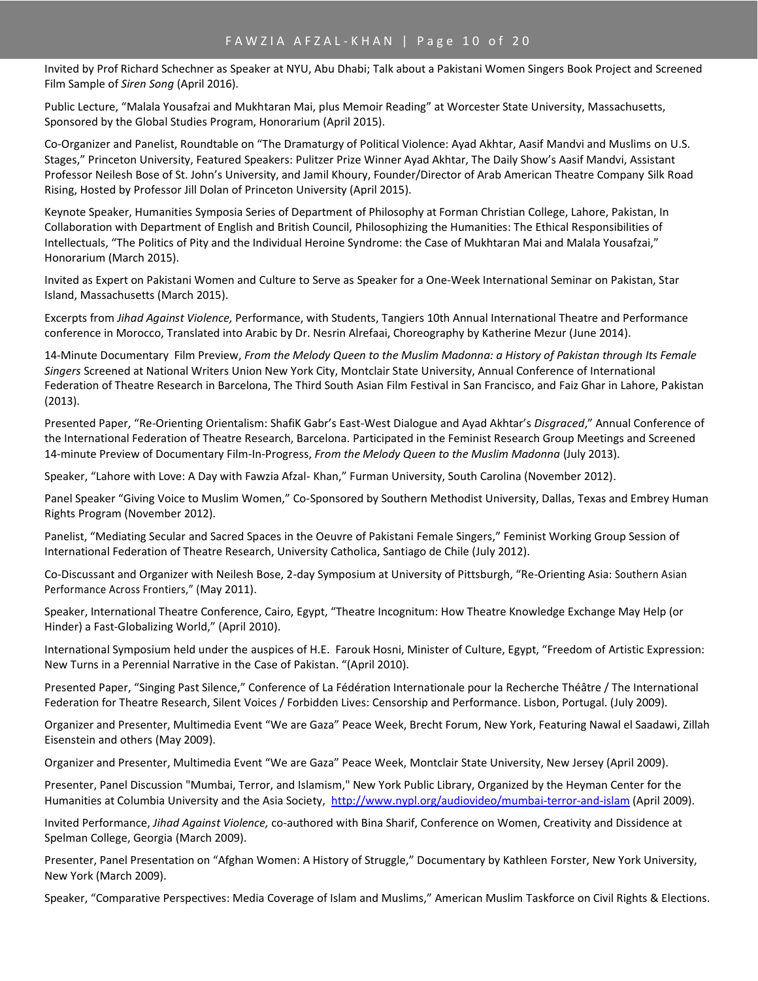Invited by Prof Richard Schechner as Speaker at NYU, Abu Dhabi; Talk about a Pakistani Women Singers Book Project and Screened Film Sample of *Siren Song* (April 2016).

Public Lecture, "Malala Yousafzai and Mukhtaran Mai, plus Memoir Reading" at Worcester State University, Massachusetts, Sponsored by the Global Studies Program, Honorarium (April 2015).

Co-Organizer and Panelist, Roundtable on "The Dramaturgy of Political Violence: Ayad Akhtar, Aasif Mandvi and Muslims on U.S. Stages," Princeton University, Featured Speakers: Pulitzer Prize Winner Ayad Akhtar, The Daily Show's Aasif Mandvi, Assistant Professor Neilesh Bose of St. John's University, and Jamil Khoury, Founder/Director of Arab American Theatre Company Silk Road Rising, Hosted by Professor Jill Dolan of Princeton University (April 2015).

Keynote Speaker, Humanities Symposia Series of Department of Philosophy at Forman Christian College, Lahore, Pakistan, In Collaboration with Department of English and British Council, Philosophizing the Humanities: The Ethical Responsibilities of Intellectuals, "The Politics of Pity and the Individual Heroine Syndrome: the Case of Mukhtaran Mai and Malala Yousafzai," Honorarium (March 2015).

Invited as Expert on Pakistani Women and Culture to Serve as Speaker for a One-Week International Seminar on Pakistan, Star Island, Massachusetts (March 2015).

Excerpts from *Jihad Against Violence,* Performance, with Students, Tangiers 10th Annual International Theatre and Performance conference in Morocco, Translated into Arabic by Dr. Nesrin Alrefaai, Choreography by Katherine Mezur (June 2014).

14-Minute Documentary Film Preview, *From the Melody Queen to the Muslim Madonna: a History of Pakistan through Its Female Singers* Screened at National Writers Union New York City, Montclair State University, Annual Conference of International Federation of Theatre Research in Barcelona, The Third South Asian Film Festival in San Francisco, and Faiz Ghar in Lahore, Pakistan (2013).

Presented Paper, "Re-Orienting Orientalism: ShafiK Gabr's East-West Dialogue and Ayad Akhtar's *Disgraced*," Annual Conference of the International Federation of Theatre Research, Barcelona. Participated in the Feminist Research Group Meetings and Screened 14-minute Preview of Documentary Film-In-Progress, *From the Melody Queen to the Muslim Madonna* (July 2013).

Speaker, "Lahore with Love: A Day with Fawzia Afzal- Khan," Furman University, South Carolina (November 2012).

Panel Speaker "Giving Voice to Muslim Women," Co-Sponsored by Southern Methodist University, Dallas, Texas and Embrey Human Rights Program (November 2012).

Panelist, "Mediating Secular and Sacred Spaces in the Oeuvre of Pakistani Female Singers," Feminist Working Group Session of International Federation of Theatre Research, University Catholica, Santiago de Chile (July 2012).

Co-Discussant and Organizer with Neilesh Bose, 2-day Symposium at University of Pittsburgh, "Re-Orienting Asia: Southern Asian Performance Across Frontiers," (May 2011).

Speaker, International Theatre Conference, Cairo, Egypt, "Theatre Incognitum: How Theatre Knowledge Exchange May Help (or Hinder) a Fast-Globalizing World," (April 2010).

International Symposium held under the auspices of H.E. Farouk Hosni, Minister of Culture, Egypt, "Freedom of Artistic Expression: New Turns in a Perennial Narrative in the Case of Pakistan. "(April 2010).

Presented Paper, "Singing Past Silence," Conference of La Fédération Internationale pour la Recherche Théâtre / The International Federation for Theatre Research, Silent Voices / Forbidden Lives: Censorship and Performance. Lisbon, Portugal. (July 2009).

Organizer and Presenter, Multimedia Event "We are Gaza" Peace Week, Brecht Forum, New York, Featuring Nawal el Saadawi, Zillah Eisenstein and others (May 2009).

Organizer and Presenter, Multimedia Event "We are Gaza" Peace Week, Montclair State University, New Jersey (April 2009).

Presenter, Panel Discussion "Mumbai, Terror, and Islamism," New York Public Library, Organized by the Heyman Center for the Humanities at Columbia University and the Asia Society,<http://www.nypl.org/audiovideo/mumbai-terror-and-islam> (April 2009).

Invited Performance, *Jihad Against Violence,* co-authored with Bina Sharif, Conference on Women, Creativity and Dissidence at Spelman College, Georgia (March 2009).

Presenter, Panel Presentation on "Afghan Women: A History of Struggle," Documentary by Kathleen Forster, New York University, New York (March 2009).

Speaker, "Comparative Perspectives: Media Coverage of Islam and Muslims," American Muslim Taskforce on Civil Rights & Elections.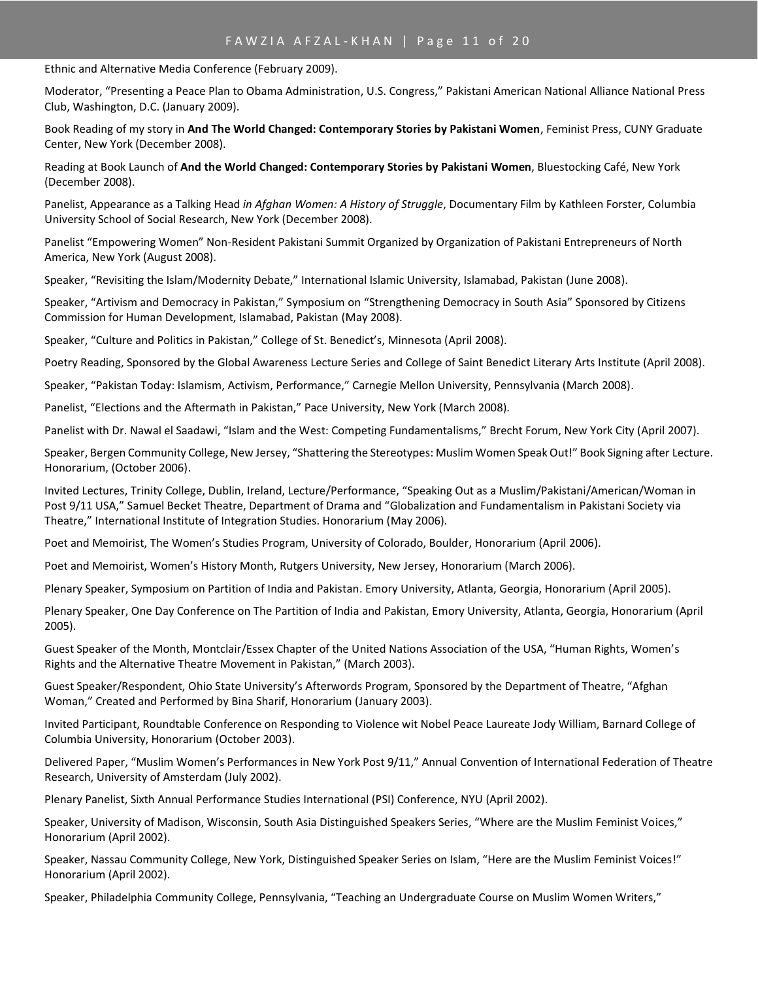Ethnic and Alternative Media Conference (February 2009).

Moderator, "Presenting a Peace Plan to Obama Administration, U.S. Congress," Pakistani American National Alliance National Press Club, Washington, D.C. (January 2009).

Book Reading of my story in **And The World Changed: Contemporary Stories by Pakistani Women**, Feminist Press, CUNY Graduate Center, New York (December 2008).

Reading at Book Launch of **And the World Changed: Contemporary Stories by Pakistani Women**, Bluestocking Café, New York (December 2008).

Panelist, Appearance as a Talking Head *in Afghan Women: A History of Struggle*, Documentary Film by Kathleen Forster, Columbia University School of Social Research, New York (December 2008).

Panelist "Empowering Women" Non-Resident Pakistani Summit Organized by Organization of Pakistani Entrepreneurs of North America, New York (August 2008).

Speaker, "Revisiting the Islam/Modernity Debate," International Islamic University, Islamabad, Pakistan (June 2008).

Speaker, "Artivism and Democracy in Pakistan," Symposium on "Strengthening Democracy in South Asia" Sponsored by Citizens Commission for Human Development, Islamabad, Pakistan (May 2008).

Speaker, "Culture and Politics in Pakistan," College of St. Benedict's, Minnesota (April 2008).

Poetry Reading, Sponsored by the Global Awareness Lecture Series and College of Saint Benedict Literary Arts Institute (April 2008).

Speaker, "Pakistan Today: Islamism, Activism, Performance," Carnegie Mellon University, Pennsylvania (March 2008).

Panelist, "Elections and the Aftermath in Pakistan," Pace University, New York (March 2008).

Panelist with Dr. Nawal el Saadawi, "Islam and the West: Competing Fundamentalisms," Brecht Forum, New York City (April 2007).

Speaker, Bergen Community College, New Jersey, "Shattering the Stereotypes: Muslim Women Speak Out!" Book Signing after Lecture. Honorarium, (October 2006).

Invited Lectures, Trinity College, Dublin, Ireland, Lecture/Performance, "Speaking Out as a Muslim/Pakistani/American/Woman in Post 9/11 USA," Samuel Becket Theatre, Department of Drama and "Globalization and Fundamentalism in Pakistani Society via Theatre," International Institute of Integration Studies. Honorarium (May 2006).

Poet and Memoirist, The Women's Studies Program, University of Colorado, Boulder, Honorarium (April 2006).

Poet and Memoirist, Women's History Month, Rutgers University, New Jersey, Honorarium (March 2006).

Plenary Speaker, Symposium on Partition of India and Pakistan. Emory University, Atlanta, Georgia, Honorarium (April 2005).

Plenary Speaker, One Day Conference on The Partition of India and Pakistan, Emory University, Atlanta, Georgia, Honorarium (April 2005).

Guest Speaker of the Month, Montclair/Essex Chapter of the United Nations Association of the USA, "Human Rights, Women's Rights and the Alternative Theatre Movement in Pakistan," (March 2003).

Guest Speaker/Respondent, Ohio State University's Afterwords Program, Sponsored by the Department of Theatre, "Afghan Woman," Created and Performed by Bina Sharif, Honorarium (January 2003).

Invited Participant, Roundtable Conference on Responding to Violence wit Nobel Peace Laureate Jody William, Barnard College of Columbia University, Honorarium (October 2003).

Delivered Paper, "Muslim Women's Performances in New York Post 9/11," Annual Convention of International Federation of Theatre Research, University of Amsterdam (July 2002).

Plenary Panelist, Sixth Annual Performance Studies International (PSI) Conference, NYU (April 2002).

Speaker, University of Madison, Wisconsin, South Asia Distinguished Speakers Series, "Where are the Muslim Feminist Voices," Honorarium (April 2002).

Speaker, Nassau Community College, New York, Distinguished Speaker Series on Islam, "Here are the Muslim Feminist Voices!" Honorarium (April 2002).

Speaker, Philadelphia Community College, Pennsylvania, "Teaching an Undergraduate Course on Muslim Women Writers,"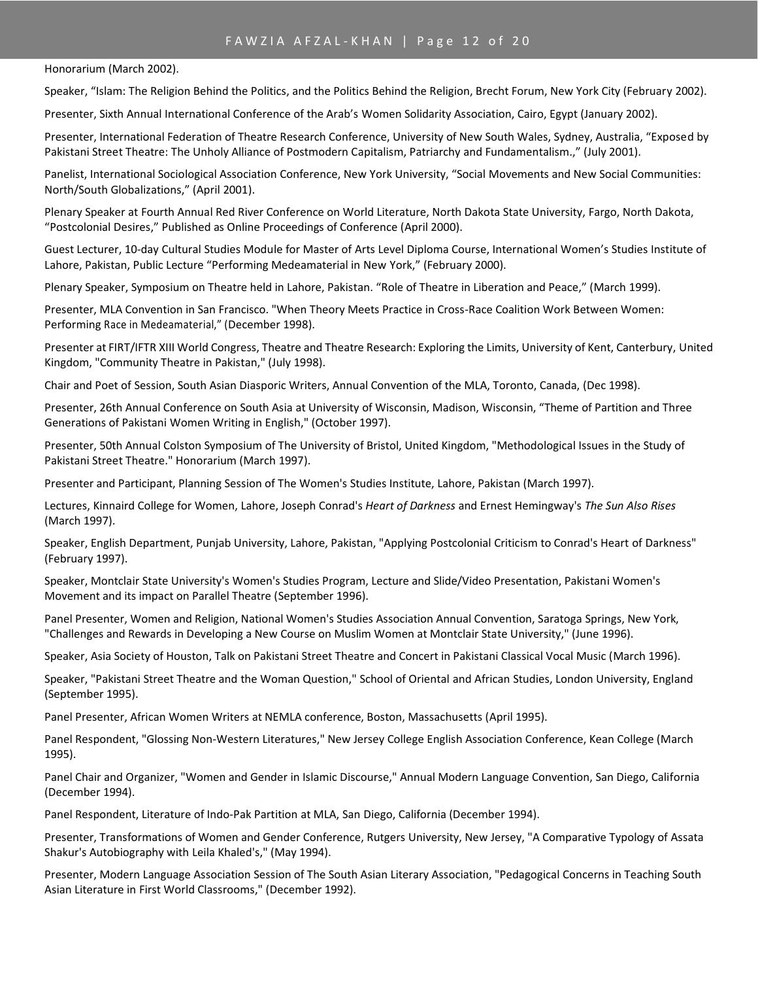# FAWZIA AFZAL-KHAN | Page 12 of 20

Honorarium (March 2002).

Speaker, "Islam: The Religion Behind the Politics, and the Politics Behind the Religion, Brecht Forum, New York City (February 2002).

Presenter, Sixth Annual International Conference of the Arab's Women Solidarity Association, Cairo, Egypt (January 2002).

Presenter, International Federation of Theatre Research Conference, University of New South Wales, Sydney, Australia, "Exposed by Pakistani Street Theatre: The Unholy Alliance of Postmodern Capitalism, Patriarchy and Fundamentalism.," (July 2001).

Panelist, International Sociological Association Conference, New York University, "Social Movements and New Social Communities: North/South Globalizations," (April 2001).

Plenary Speaker at Fourth Annual Red River Conference on World Literature, North Dakota State University, Fargo, North Dakota, "Postcolonial Desires," Published as Online Proceedings of Conference (April 2000).

Guest Lecturer, 10-day Cultural Studies Module for Master of Arts Level Diploma Course, International Women's Studies Institute of Lahore, Pakistan, Public Lecture "Performing Medeamaterial in New York," (February 2000).

Plenary Speaker, Symposium on Theatre held in Lahore, Pakistan. "Role of Theatre in Liberation and Peace," (March 1999).

Presenter, MLA Convention in San Francisco. "When Theory Meets Practice in Cross-Race Coalition Work Between Women: Performing Race in Medeamaterial," (December 1998).

Presenter at FIRT/IFTR XIII World Congress, Theatre and Theatre Research: Exploring the Limits, University of Kent, Canterbury, United Kingdom, "Community Theatre in Pakistan," (July 1998).

Chair and Poet of Session, South Asian Diasporic Writers, Annual Convention of the MLA, Toronto, Canada, (Dec 1998).

Presenter, 26th Annual Conference on South Asia at University of Wisconsin, Madison, Wisconsin, "Theme of Partition and Three Generations of Pakistani Women Writing in English," (October 1997).

Presenter, 50th Annual Colston Symposium of The University of Bristol, United Kingdom, "Methodological Issues in the Study of Pakistani Street Theatre." Honorarium (March 1997).

Presenter and Participant, Planning Session of The Women's Studies Institute, Lahore, Pakistan (March 1997).

Lectures, Kinnaird College for Women, Lahore, Joseph Conrad's *Heart of Darkness* and Ernest Hemingway's *The Sun Also Rises* (March 1997).

Speaker, English Department, Punjab University, Lahore, Pakistan, "Applying Postcolonial Criticism to Conrad's Heart of Darkness" (February 1997).

Speaker, Montclair State University's Women's Studies Program, Lecture and Slide/Video Presentation, Pakistani Women's Movement and its impact on Parallel Theatre (September 1996).

Panel Presenter, Women and Religion, National Women's Studies Association Annual Convention, Saratoga Springs, New York, "Challenges and Rewards in Developing a New Course on Muslim Women at Montclair State University," (June 1996).

Speaker, Asia Society of Houston, Talk on Pakistani Street Theatre and Concert in Pakistani Classical Vocal Music (March 1996).

Speaker, "Pakistani Street Theatre and the Woman Question," School of Oriental and African Studies, London University, England (September 1995).

Panel Presenter, African Women Writers at NEMLA conference, Boston, Massachusetts (April 1995).

Panel Respondent, "Glossing Non-Western Literatures," New Jersey College English Association Conference, Kean College (March 1995).

Panel Chair and Organizer, "Women and Gender in Islamic Discourse," Annual Modern Language Convention, San Diego, California (December 1994).

Panel Respondent, Literature of Indo-Pak Partition at MLA, San Diego, California (December 1994).

Presenter, Transformations of Women and Gender Conference, Rutgers University, New Jersey, "A Comparative Typology of Assata Shakur's Autobiography with Leila Khaled's," (May 1994).

Presenter, Modern Language Association Session of The South Asian Literary Association, "Pedagogical Concerns in Teaching South Asian Literature in First World Classrooms," (December 1992).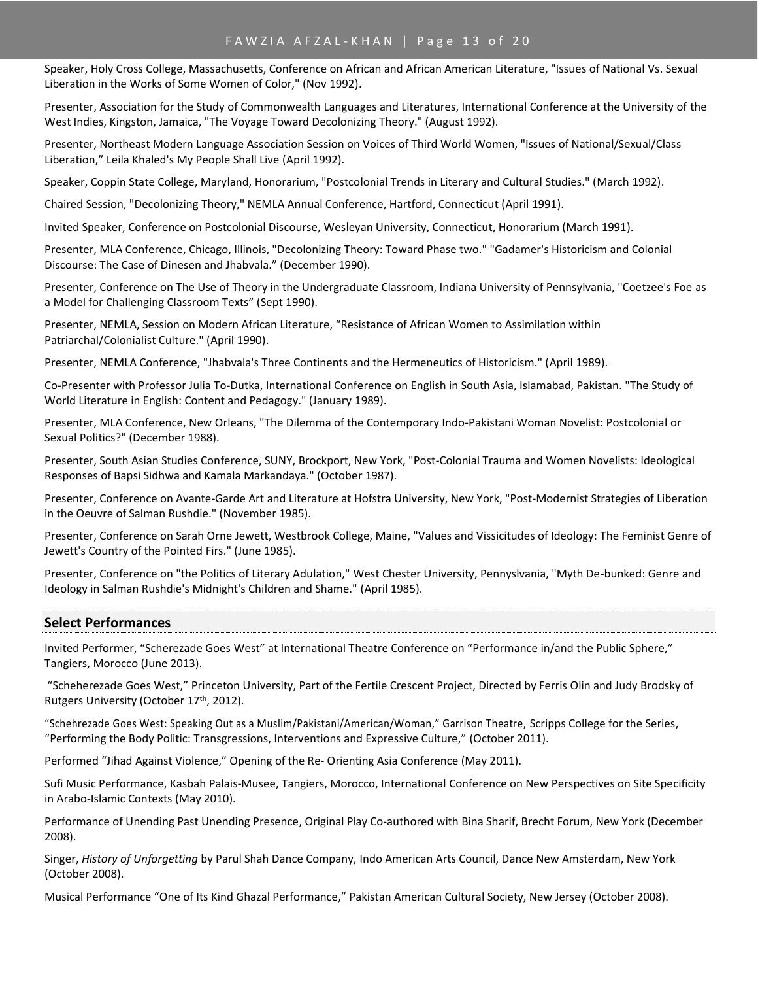Speaker, Holy Cross College, Massachusetts, Conference on African and African American Literature, "Issues of National Vs. Sexual Liberation in the Works of Some Women of Color," (Nov 1992).

Presenter, Association for the Study of Commonwealth Languages and Literatures, International Conference at the University of the West Indies, Kingston, Jamaica, "The Voyage Toward Decolonizing Theory." (August 1992).

Presenter, Northeast Modern Language Association Session on Voices of Third World Women, "Issues of National/Sexual/Class Liberation," Leila Khaled's My People Shall Live (April 1992).

Speaker, Coppin State College, Maryland, Honorarium, "Postcolonial Trends in Literary and Cultural Studies." (March 1992).

Chaired Session, "Decolonizing Theory," NEMLA Annual Conference, Hartford, Connecticut (April 1991).

Invited Speaker, Conference on Postcolonial Discourse, Wesleyan University, Connecticut, Honorarium (March 1991).

Presenter, MLA Conference, Chicago, Illinois, "Decolonizing Theory: Toward Phase two." "Gadamer's Historicism and Colonial Discourse: The Case of Dinesen and Jhabvala." (December 1990).

Presenter, Conference on The Use of Theory in the Undergraduate Classroom, Indiana University of Pennsylvania, "Coetzee's Foe as a Model for Challenging Classroom Texts" (Sept 1990).

Presenter, NEMLA, Session on Modern African Literature, "Resistance of African Women to Assimilation within Patriarchal/Colonialist Culture." (April 1990).

Presenter, NEMLA Conference, "Jhabvala's Three Continents and the Hermeneutics of Historicism." (April 1989).

Co-Presenter with Professor Julia To-Dutka, International Conference on English in South Asia, Islamabad, Pakistan. "The Study of World Literature in English: Content and Pedagogy." (January 1989).

Presenter, MLA Conference, New Orleans, "The Dilemma of the Contemporary Indo-Pakistani Woman Novelist: Postcolonial or Sexual Politics?" (December 1988).

Presenter, South Asian Studies Conference, SUNY, Brockport, New York, "Post-Colonial Trauma and Women Novelists: Ideological Responses of Bapsi Sidhwa and Kamala Markandaya." (October 1987).

Presenter, Conference on Avante-Garde Art and Literature at Hofstra University, New York, "Post-Modernist Strategies of Liberation in the Oeuvre of Salman Rushdie." (November 1985).

Presenter, Conference on Sarah Orne Jewett, Westbrook College, Maine, "Values and Vissicitudes of Ideology: The Feminist Genre of Jewett's Country of the Pointed Firs." (June 1985).

Presenter, Conference on "the Politics of Literary Adulation," West Chester University, Pennyslvania, "Myth De-bunked: Genre and Ideology in Salman Rushdie's Midnight's Children and Shame." (April 1985).

### **Select Performances**

Invited Performer, "Scherezade Goes West" at International Theatre Conference on "Performance in/and the Public Sphere," Tangiers, Morocco (June 2013).

"Scheherezade Goes West," Princeton University, Part of the Fertile Crescent Project, Directed by Ferris Olin and Judy Brodsky of Rutgers University (October 17<sup>th</sup>, 2012).

"Schehrezade Goes West: Speaking Out as a Muslim/Pakistani/American/Woman," Garrison Theatre, Scripps College for the Series, "Performing the Body Politic: Transgressions, Interventions and Expressive Culture," (October 2011).

Performed "Jihad Against Violence," Opening of the Re- Orienting Asia Conference (May 2011).

Sufi Music Performance, Kasbah Palais-Musee, Tangiers, Morocco, International Conference on New Perspectives on Site Specificity in Arabo-Islamic Contexts (May 2010).

Performance of Unending Past Unending Presence, Original Play Co-authored with Bina Sharif, Brecht Forum, New York (December 2008).

Singer, *History of Unforgetting* by Parul Shah Dance Company, Indo American Arts Council, Dance New Amsterdam, New York (October 2008).

Musical Performance "One of Its Kind Ghazal Performance," Pakistan American Cultural Society, New Jersey (October 2008).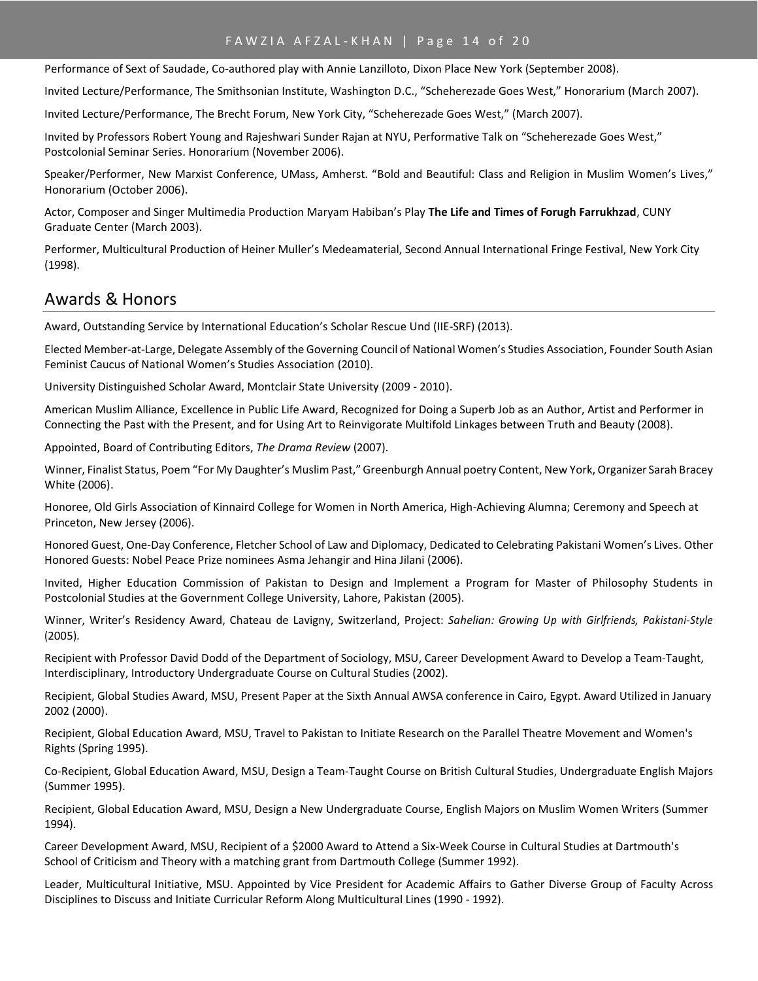# FAWZIA AFZAL-KHAN | Page 14 of 20

Performance of Sext of Saudade, Co-authored play with Annie Lanzilloto, Dixon Place New York (September 2008).

Invited Lecture/Performance, The Smithsonian Institute, Washington D.C., "Scheherezade Goes West," Honorarium (March 2007).

Invited Lecture/Performance, The Brecht Forum, New York City, "Scheherezade Goes West," (March 2007).

Invited by Professors Robert Young and Rajeshwari Sunder Rajan at NYU, Performative Talk on "Scheherezade Goes West," Postcolonial Seminar Series. Honorarium (November 2006).

Speaker/Performer, New Marxist Conference, UMass, Amherst. "Bold and Beautiful: Class and Religion in Muslim Women's Lives," Honorarium (October 2006).

Actor, Composer and Singer Multimedia Production Maryam Habiban's Play **The Life and Times of Forugh Farrukhzad**, CUNY Graduate Center (March 2003).

Performer, Multicultural Production of Heiner Muller's Medeamaterial, Second Annual International Fringe Festival, New York City (1998).

# Awards & Honors

Award, Outstanding Service by International Education's Scholar Rescue Und (IIE-SRF) (2013).

Elected Member-at-Large, Delegate Assembly of the Governing Council of National Women's Studies Association, Founder South Asian Feminist Caucus of National Women's Studies Association (2010).

University Distinguished Scholar Award, Montclair State University (2009 - 2010).

American Muslim Alliance, Excellence in Public Life Award, Recognized for Doing a Superb Job as an Author, Artist and Performer in Connecting the Past with the Present, and for Using Art to Reinvigorate Multifold Linkages between Truth and Beauty (2008).

Appointed, Board of Contributing Editors, *The Drama Review* (2007).

Winner, Finalist Status, Poem "For My Daughter's Muslim Past," Greenburgh Annual poetry Content, New York, Organizer Sarah Bracey White (2006).

Honoree, Old Girls Association of Kinnaird College for Women in North America, High-Achieving Alumna; Ceremony and Speech at Princeton, New Jersey (2006).

Honored Guest, One-Day Conference, Fletcher School of Law and Diplomacy, Dedicated to Celebrating Pakistani Women's Lives. Other Honored Guests: Nobel Peace Prize nominees Asma Jehangir and Hina Jilani (2006).

Invited, Higher Education Commission of Pakistan to Design and Implement a Program for Master of Philosophy Students in Postcolonial Studies at the Government College University, Lahore, Pakistan (2005).

Winner, Writer's Residency Award, Chateau de Lavigny, Switzerland, Project: *Sahelian: Growing Up with Girlfriends, Pakistani-Style* (2005).

Recipient with Professor David Dodd of the Department of Sociology, MSU, Career Development Award to Develop a Team-Taught, Interdisciplinary, Introductory Undergraduate Course on Cultural Studies (2002).

Recipient, Global Studies Award, MSU, Present Paper at the Sixth Annual AWSA conference in Cairo, Egypt. Award Utilized in January 2002 (2000).

Recipient, Global Education Award, MSU, Travel to Pakistan to Initiate Research on the Parallel Theatre Movement and Women's Rights (Spring 1995).

Co-Recipient, Global Education Award, MSU, Design a Team-Taught Course on British Cultural Studies, Undergraduate English Majors (Summer 1995).

Recipient, Global Education Award, MSU, Design a New Undergraduate Course, English Majors on Muslim Women Writers (Summer 1994).

Career Development Award, MSU, Recipient of a \$2000 Award to Attend a Six-Week Course in Cultural Studies at Dartmouth's School of Criticism and Theory with a matching grant from Dartmouth College (Summer 1992).

Leader, Multicultural Initiative, MSU. Appointed by Vice President for Academic Affairs to Gather Diverse Group of Faculty Across Disciplines to Discuss and Initiate Curricular Reform Along Multicultural Lines (1990 - 1992).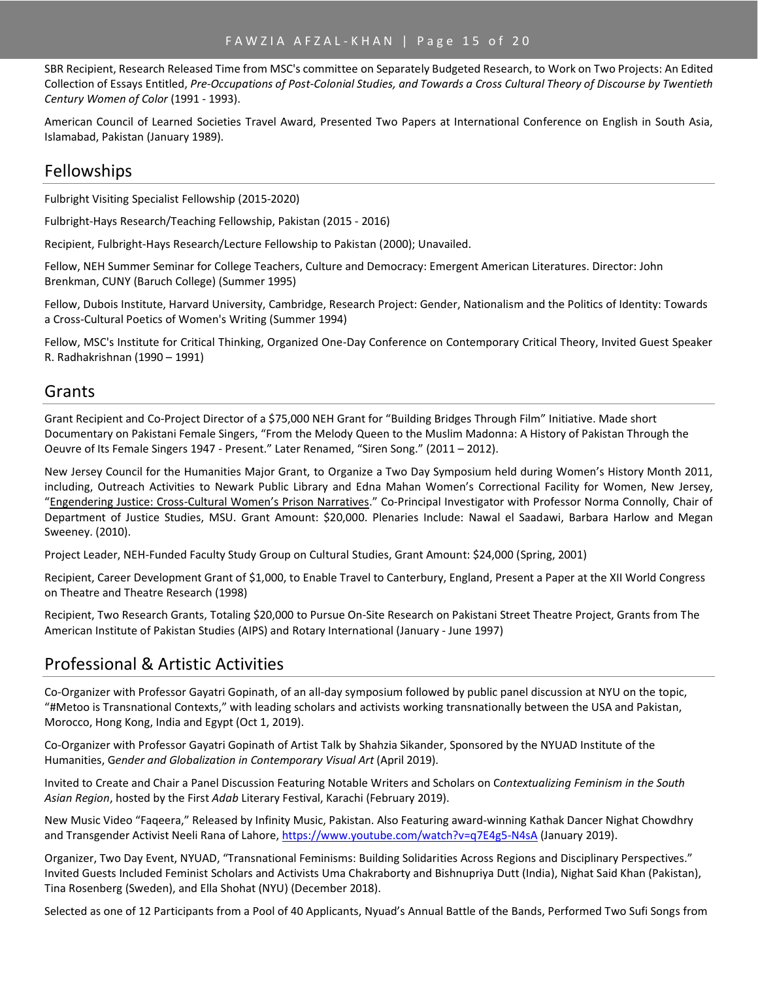SBR Recipient, Research Released Time from MSC's committee on Separately Budgeted Research, to Work on Two Projects: An Edited Collection of Essays Entitled, *Pre-Occupations of Post-Colonial Studies, and Towards a Cross Cultural Theory of Discourse by Twentieth Century Women of Color* (1991 - 1993).

American Council of Learned Societies Travel Award, Presented Two Papers at International Conference on English in South Asia, Islamabad, Pakistan (January 1989).

# Fellowships

Fulbright Visiting Specialist Fellowship (2015-2020)

Fulbright-Hays Research/Teaching Fellowship, Pakistan (2015 - 2016)

Recipient, Fulbright-Hays Research/Lecture Fellowship to Pakistan (2000); Unavailed.

Fellow, NEH Summer Seminar for College Teachers, Culture and Democracy: Emergent American Literatures. Director: John Brenkman, CUNY (Baruch College) (Summer 1995)

Fellow, Dubois Institute, Harvard University, Cambridge, Research Project: Gender, Nationalism and the Politics of Identity: Towards a Cross-Cultural Poetics of Women's Writing (Summer 1994)

Fellow, MSC's Institute for Critical Thinking, Organized One-Day Conference on Contemporary Critical Theory, Invited Guest Speaker R. Radhakrishnan (1990 – 1991)

# Grants

Grant Recipient and Co-Project Director of a \$75,000 NEH Grant for "Building Bridges Through Film" Initiative. Made short Documentary on Pakistani Female Singers, "From the Melody Queen to the Muslim Madonna: A History of Pakistan Through the Oeuvre of Its Female Singers 1947 - Present." Later Renamed, "Siren Song." (2011 – 2012).

New Jersey Council for the Humanities Major Grant, to Organize a Two Day Symposium held during Women's History Month 2011, including, Outreach Activities to Newark Public Library and Edna Mahan Women's Correctional Facility for Women, New Jersey, "Engendering Justice: Cross-Cultural Women's Prison Narratives." Co-Principal Investigator with Professor Norma Connolly, Chair of Department of Justice Studies, MSU. Grant Amount: \$20,000. Plenaries Include: Nawal el Saadawi, Barbara Harlow and Megan Sweeney. (2010).

Project Leader, NEH-Funded Faculty Study Group on Cultural Studies, Grant Amount: \$24,000 (Spring, 2001)

Recipient, Career Development Grant of \$1,000, to Enable Travel to Canterbury, England, Present a Paper at the XII World Congress on Theatre and Theatre Research (1998)

Recipient, Two Research Grants, Totaling \$20,000 to Pursue On-Site Research on Pakistani Street Theatre Project, Grants from The American Institute of Pakistan Studies (AIPS) and Rotary International (January - June 1997)

# Professional & Artistic Activities

Co-Organizer with Professor Gayatri Gopinath, of an all-day symposium followed by public panel discussion at NYU on the topic, "#Metoo is Transnational Contexts," with leading scholars and activists working transnationally between the USA and Pakistan, Morocco, Hong Kong, India and Egypt (Oct 1, 2019).

Co-Organizer with Professor Gayatri Gopinath of Artist Talk by Shahzia Sikander, Sponsored by the NYUAD Institute of the Humanities, G*ender and Globalization in Contemporary Visual Art* (April 2019).

Invited to Create and Chair a Panel Discussion Featuring Notable Writers and Scholars on C*ontextualizing Feminism in the South Asian Region*, hosted by the First *Adab* Literary Festival, Karachi (February 2019).

New Music Video "Faqeera," Released by Infinity Music, Pakistan. Also Featuring award-winning Kathak Dancer Nighat Chowdhry and Transgender Activist Neeli Rana of Lahore,<https://www.youtube.com/watch?v=q7E4g5-N4sA> (January 2019).

Organizer, Two Day Event, NYUAD, "Transnational Feminisms: Building Solidarities Across Regions and Disciplinary Perspectives." Invited Guests Included Feminist Scholars and Activists Uma Chakraborty and Bishnupriya Dutt (India), Nighat Said Khan (Pakistan), Tina Rosenberg (Sweden), and Ella Shohat (NYU) (December 2018).

Selected as one of 12 Participants from a Pool of 40 Applicants, Nyuad's Annual Battle of the Bands, Performed Two Sufi Songs from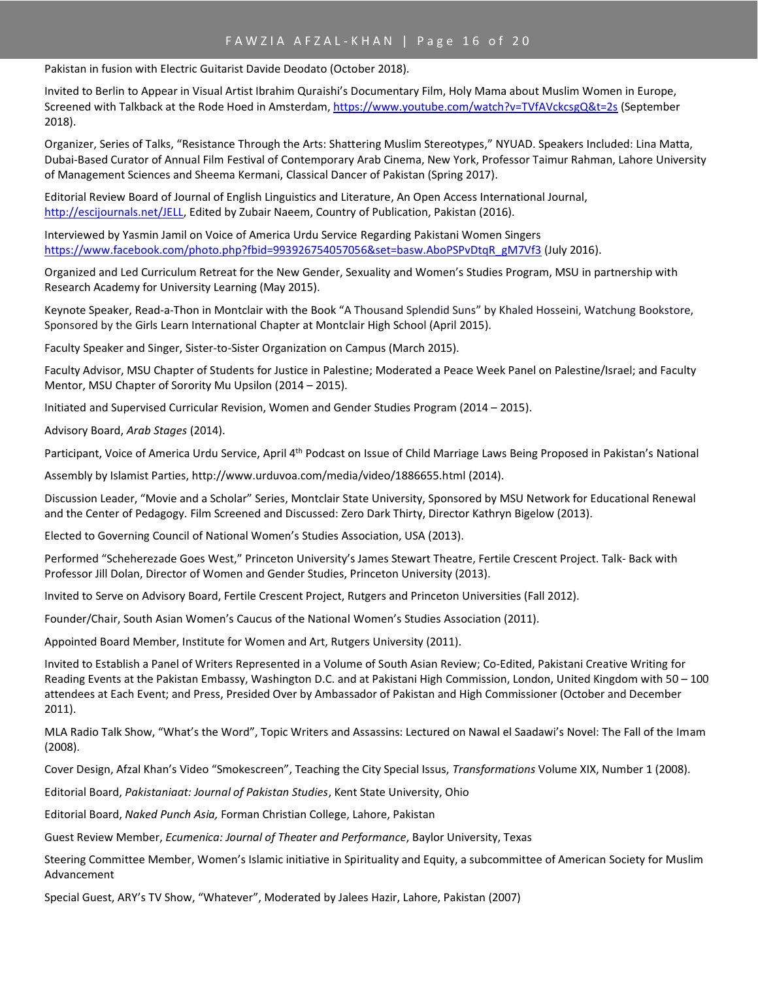Pakistan in fusion with Electric Guitarist Davide Deodato (October 2018).

Invited to Berlin to Appear in Visual Artist Ibrahim Quraishi's Documentary Film, Holy Mama about Muslim Women in Europe, Screened with Talkback at the Rode Hoed in Amsterdam, <https://www.youtube.com/watch?v=TVfAVckcsgQ&t=2s> (September 2018).

Organizer, Series of Talks, "Resistance Through the Arts: Shattering Muslim Stereotypes," NYUAD. Speakers Included: Lina Matta, Dubai-Based Curator of Annual Film Festival of Contemporary Arab Cinema, New York, Professor Taimur Rahman, Lahore University of Management Sciences and Sheema Kermani, Classical Dancer of Pakistan (Spring 2017).

Editorial Review Board of Journal of English Linguistics and Literature, An Open Access International Journal, [http://escijournals.net/JELL,](http://escijournals.net/JELL) Edited by Zubair Naeem, Country of Publication, Pakistan (2016).

Interviewed by Yasmin Jamil on Voice of America Urdu Service Regarding Pakistani Women Singers [https://www.facebook.com/photo.php?fbid=993926754057056&set=basw.AboPSPvDtqR\\_gM7Vf3](https://www.facebook.com/photo.php?fbid=993926754057056&set=basw.AboPSPvDtqR_gM7Vf3) (July 2016).

Organized and Led Curriculum Retreat for the New Gender, Sexuality and Women's Studies Program, MSU in partnership with Research Academy for University Learning (May 2015).

Keynote Speaker, Read-a-Thon in Montclair with the Book "A Thousand Splendid Suns" by Khaled Hosseini, Watchung Bookstore, Sponsored by the Girls Learn International Chapter at Montclair High School (April 2015).

Faculty Speaker and Singer, Sister-to-Sister Organization on Campus (March 2015).

Faculty Advisor, MSU Chapter of Students for Justice in Palestine; Moderated a Peace Week Panel on Palestine/Israel; and Faculty Mentor, MSU Chapter of Sorority Mu Upsilon (2014 – 2015).

Initiated and Supervised Curricular Revision, Women and Gender Studies Program (2014 – 2015).

Advisory Board, *Arab Stages* (2014).

Participant, Voice of America Urdu Service, April 4th Podcast on Issue of Child Marriage Laws Being Proposed in Pakistan's National

Assembly by Islamist Parties, http://www.urduvoa.com/media/video/1886655.html (2014).

Discussion Leader, "Movie and a Scholar" Series, Montclair State University, Sponsored by MSU Network for Educational Renewal and the Center of Pedagogy. Film Screened and Discussed: Zero Dark Thirty, Director Kathryn Bigelow (2013).

Elected to Governing Council of National Women's Studies Association, USA (2013).

Performed "Scheherezade Goes West," Princeton University's James Stewart Theatre, Fertile Crescent Project. Talk- Back with Professor Jill Dolan, Director of Women and Gender Studies, Princeton University (2013).

Invited to Serve on Advisory Board, Fertile Crescent Project, Rutgers and Princeton Universities (Fall 2012).

Founder/Chair, South Asian Women's Caucus of the National Women's Studies Association (2011).

Appointed Board Member, Institute for Women and Art, Rutgers University (2011).

Invited to Establish a Panel of Writers Represented in a Volume of South Asian Review; Co-Edited, Pakistani Creative Writing for Reading Events at the Pakistan Embassy, Washington D.C. and at Pakistani High Commission, London, United Kingdom with 50 – 100 attendees at Each Event; and Press, Presided Over by Ambassador of Pakistan and High Commissioner (October and December 2011).

MLA Radio Talk Show, "What's the Word", Topic Writers and Assassins: Lectured on Nawal el Saadawi's Novel: The Fall of the Imam (2008).

Cover Design, Afzal Khan's Video "Smokescreen", Teaching the City Special Issus, *Transformations* Volume XIX, Number 1 (2008).

Editorial Board, *Pakistaniaat: Journal of Pakistan Studies*, Kent State University, Ohio

Editorial Board, *Naked Punch Asia,* Forman Christian College, Lahore, Pakistan

Guest Review Member, *Ecumenica: Journal of Theater and Performance*, Baylor University, Texas

Steering Committee Member, Women's Islamic initiative in Spirituality and Equity, a subcommittee of American Society for Muslim Advancement

Special Guest, ARY's TV Show, "Whatever", Moderated by Jalees Hazir, Lahore, Pakistan (2007)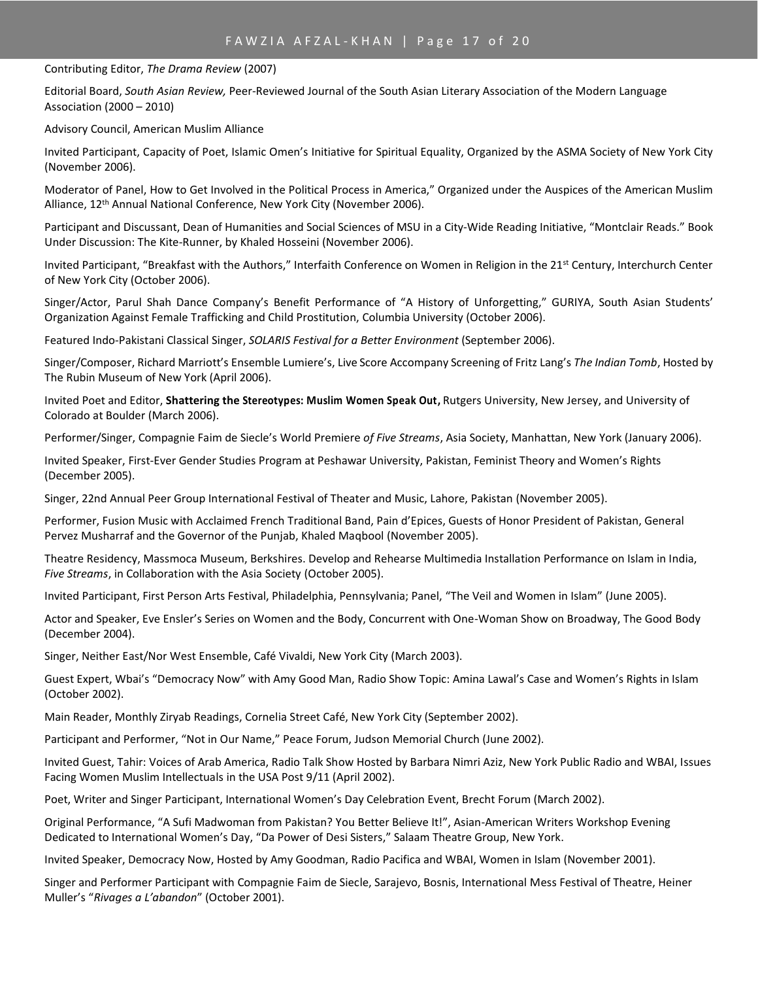#### Contributing Editor, *The Drama Review* (2007)

Editorial Board, *South Asian Review,* Peer-Reviewed Journal of the South Asian Literary Association of the Modern Language Association (2000 – 2010)

Advisory Council, American Muslim Alliance

Invited Participant, Capacity of Poet, Islamic Omen's Initiative for Spiritual Equality, Organized by the ASMA Society of New York City (November 2006).

Moderator of Panel, How to Get Involved in the Political Process in America," Organized under the Auspices of the American Muslim Alliance, 12th Annual National Conference, New York City (November 2006).

Participant and Discussant, Dean of Humanities and Social Sciences of MSU in a City-Wide Reading Initiative, "Montclair Reads." Book Under Discussion: The Kite-Runner, by Khaled Hosseini (November 2006).

Invited Participant, "Breakfast with the Authors," Interfaith Conference on Women in Religion in the 21<sup>st</sup> Century, Interchurch Center of New York City (October 2006).

Singer/Actor, Parul Shah Dance Company's Benefit Performance of "A History of Unforgetting," GURIYA, South Asian Students' Organization Against Female Trafficking and Child Prostitution, Columbia University (October 2006).

Featured Indo-Pakistani Classical Singer, *SOLARIS Festival for a Better Environment* (September 2006).

Singer/Composer, Richard Marriott's Ensemble Lumiere's, Live Score Accompany Screening of Fritz Lang's *The Indian Tomb*, Hosted by The Rubin Museum of New York (April 2006).

Invited Poet and Editor, **Shattering the Stereotypes: Muslim Women Speak Out,** Rutgers University, New Jersey, and University of Colorado at Boulder (March 2006).

Performer/Singer, Compagnie Faim de Siecle's World Premiere *of Five Streams*, Asia Society, Manhattan, New York (January 2006).

Invited Speaker, First-Ever Gender Studies Program at Peshawar University, Pakistan, Feminist Theory and Women's Rights (December 2005).

Singer, 22nd Annual Peer Group International Festival of Theater and Music, Lahore, Pakistan (November 2005).

Performer, Fusion Music with Acclaimed French Traditional Band, Pain d'Epices, Guests of Honor President of Pakistan, General Pervez Musharraf and the Governor of the Punjab, Khaled Maqbool (November 2005).

Theatre Residency, Massmoca Museum, Berkshires. Develop and Rehearse Multimedia Installation Performance on Islam in India, *Five Streams*, in Collaboration with the Asia Society (October 2005).

Invited Participant, First Person Arts Festival, Philadelphia, Pennsylvania; Panel, "The Veil and Women in Islam" (June 2005).

Actor and Speaker, Eve Ensler's Series on Women and the Body, Concurrent with One-Woman Show on Broadway, The Good Body (December 2004).

Singer, Neither East/Nor West Ensemble, Café Vivaldi, New York City (March 2003).

Guest Expert, Wbai's "Democracy Now" with Amy Good Man, Radio Show Topic: Amina Lawal's Case and Women's Rights in Islam (October 2002).

Main Reader, Monthly Ziryab Readings, Cornelia Street Café, New York City (September 2002).

Participant and Performer, "Not in Our Name," Peace Forum, Judson Memorial Church (June 2002).

Invited Guest, Tahir: Voices of Arab America, Radio Talk Show Hosted by Barbara Nimri Aziz, New York Public Radio and WBAI, Issues Facing Women Muslim Intellectuals in the USA Post 9/11 (April 2002).

Poet, Writer and Singer Participant, International Women's Day Celebration Event, Brecht Forum (March 2002).

Original Performance, "A Sufi Madwoman from Pakistan? You Better Believe It!", Asian-American Writers Workshop Evening Dedicated to International Women's Day, "Da Power of Desi Sisters," Salaam Theatre Group, New York.

Invited Speaker, Democracy Now, Hosted by Amy Goodman, Radio Pacifica and WBAI, Women in Islam (November 2001).

Singer and Performer Participant with Compagnie Faim de Siecle, Sarajevo, Bosnis, International Mess Festival of Theatre, Heiner Muller's "*Rivages a L'abandon*" (October 2001).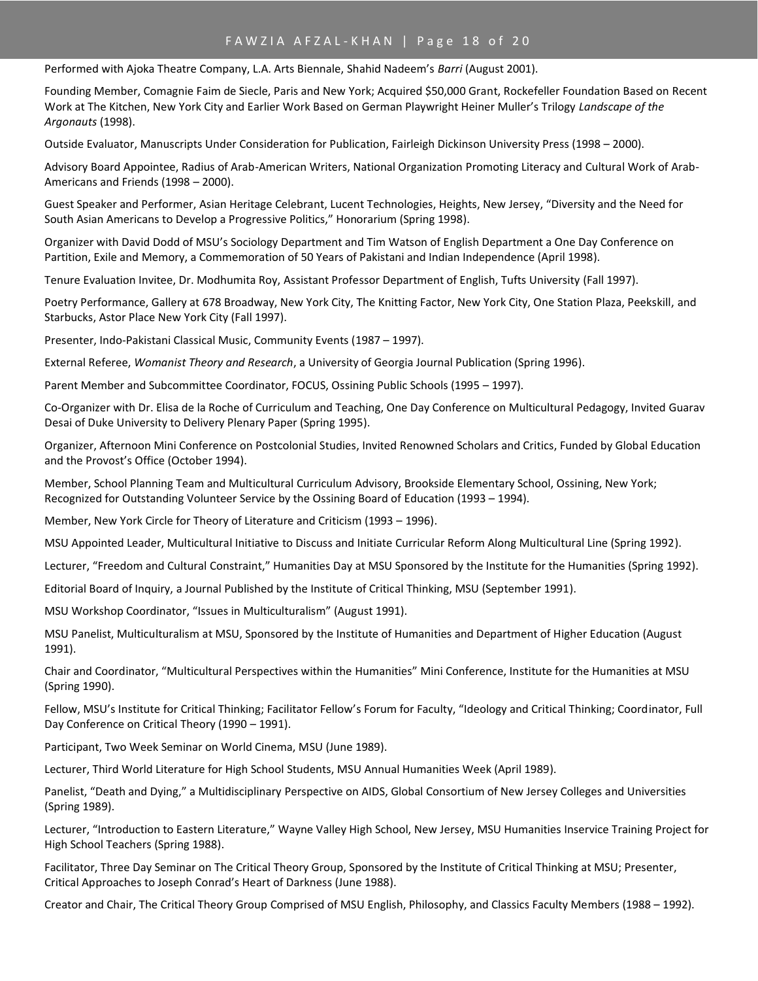# FAWZIA AFZAL-KHAN | Page 18 of 20

Performed with Ajoka Theatre Company, L.A. Arts Biennale, Shahid Nadeem's *Barri* (August 2001).

Founding Member, Comagnie Faim de Siecle, Paris and New York; Acquired \$50,000 Grant, Rockefeller Foundation Based on Recent Work at The Kitchen, New York City and Earlier Work Based on German Playwright Heiner Muller's Trilogy *Landscape of the Argonauts* (1998).

Outside Evaluator, Manuscripts Under Consideration for Publication, Fairleigh Dickinson University Press (1998 – 2000).

Advisory Board Appointee, Radius of Arab-American Writers, National Organization Promoting Literacy and Cultural Work of Arab-Americans and Friends (1998 – 2000).

Guest Speaker and Performer, Asian Heritage Celebrant, Lucent Technologies, Heights, New Jersey, "Diversity and the Need for South Asian Americans to Develop a Progressive Politics," Honorarium (Spring 1998).

Organizer with David Dodd of MSU's Sociology Department and Tim Watson of English Department a One Day Conference on Partition, Exile and Memory, a Commemoration of 50 Years of Pakistani and Indian Independence (April 1998).

Tenure Evaluation Invitee, Dr. Modhumita Roy, Assistant Professor Department of English, Tufts University (Fall 1997).

Poetry Performance, Gallery at 678 Broadway, New York City, The Knitting Factor, New York City, One Station Plaza, Peekskill, and Starbucks, Astor Place New York City (Fall 1997).

Presenter, Indo-Pakistani Classical Music, Community Events (1987 – 1997).

External Referee, *Womanist Theory and Research*, a University of Georgia Journal Publication (Spring 1996).

Parent Member and Subcommittee Coordinator, FOCUS, Ossining Public Schools (1995 – 1997).

Co-Organizer with Dr. Elisa de la Roche of Curriculum and Teaching, One Day Conference on Multicultural Pedagogy, Invited Guarav Desai of Duke University to Delivery Plenary Paper (Spring 1995).

Organizer, Afternoon Mini Conference on Postcolonial Studies, Invited Renowned Scholars and Critics, Funded by Global Education and the Provost's Office (October 1994).

Member, School Planning Team and Multicultural Curriculum Advisory, Brookside Elementary School, Ossining, New York; Recognized for Outstanding Volunteer Service by the Ossining Board of Education (1993 – 1994).

Member, New York Circle for Theory of Literature and Criticism (1993 – 1996).

MSU Appointed Leader, Multicultural Initiative to Discuss and Initiate Curricular Reform Along Multicultural Line (Spring 1992).

Lecturer, "Freedom and Cultural Constraint," Humanities Day at MSU Sponsored by the Institute for the Humanities (Spring 1992).

Editorial Board of Inquiry, a Journal Published by the Institute of Critical Thinking, MSU (September 1991).

MSU Workshop Coordinator, "Issues in Multiculturalism" (August 1991).

MSU Panelist, Multiculturalism at MSU, Sponsored by the Institute of Humanities and Department of Higher Education (August 1991).

Chair and Coordinator, "Multicultural Perspectives within the Humanities" Mini Conference, Institute for the Humanities at MSU (Spring 1990).

Fellow, MSU's Institute for Critical Thinking; Facilitator Fellow's Forum for Faculty, "Ideology and Critical Thinking; Coordinator, Full Day Conference on Critical Theory (1990 – 1991).

Participant, Two Week Seminar on World Cinema, MSU (June 1989).

Lecturer, Third World Literature for High School Students, MSU Annual Humanities Week (April 1989).

Panelist, "Death and Dying," a Multidisciplinary Perspective on AIDS, Global Consortium of New Jersey Colleges and Universities (Spring 1989).

Lecturer, "Introduction to Eastern Literature," Wayne Valley High School, New Jersey, MSU Humanities Inservice Training Project for High School Teachers (Spring 1988).

Facilitator, Three Day Seminar on The Critical Theory Group, Sponsored by the Institute of Critical Thinking at MSU; Presenter, Critical Approaches to Joseph Conrad's Heart of Darkness (June 1988).

Creator and Chair, The Critical Theory Group Comprised of MSU English, Philosophy, and Classics Faculty Members (1988 – 1992).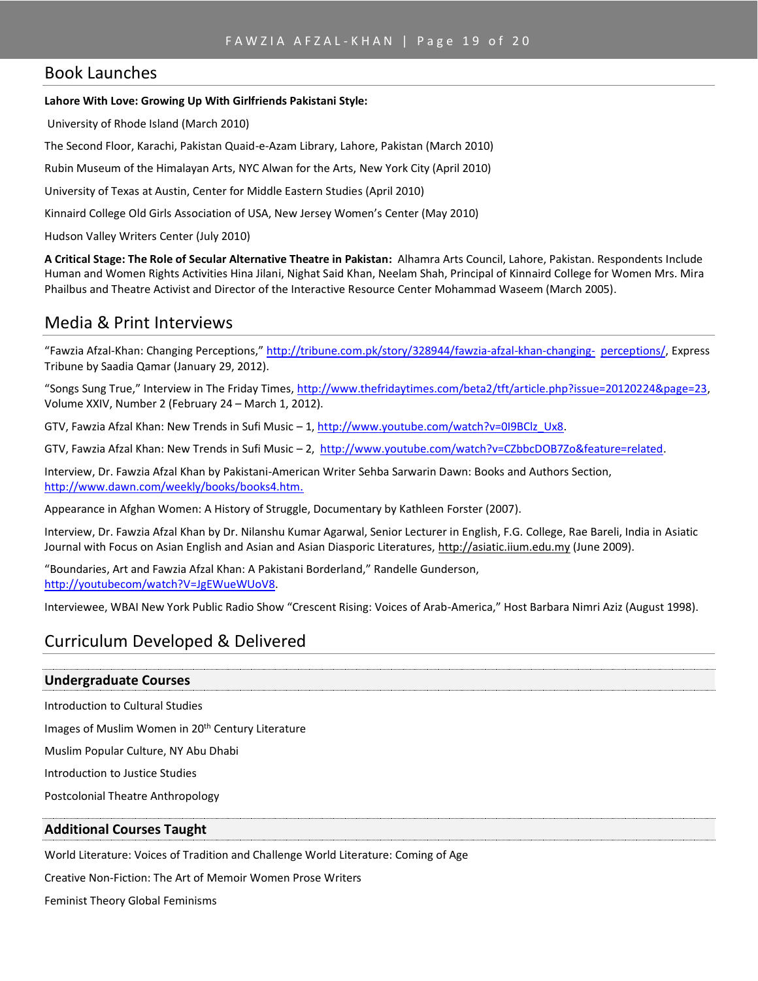# Book Launches

#### **Lahore With Love: Growing Up With Girlfriends Pakistani Style:**

University of Rhode Island (March 2010)

The Second Floor, Karachi, Pakistan Quaid-e-Azam Library, Lahore, Pakistan (March 2010)

Rubin Museum of the Himalayan Arts, NYC Alwan for the Arts, New York City (April 2010)

University of Texas at Austin, Center for Middle Eastern Studies (April 2010)

Kinnaird College Old Girls Association of USA, New Jersey Women's Center (May 2010)

Hudson Valley Writers Center (July 2010)

**A Critical Stage: The Role of Secular Alternative Theatre in Pakistan:** Alhamra Arts Council, Lahore, Pakistan. Respondents Include Human and Women Rights Activities Hina Jilani, Nighat Said Khan, Neelam Shah, Principal of Kinnaird College for Women Mrs. Mira Phailbus and Theatre Activist and Director of the Interactive Resource Center Mohammad Waseem (March 2005).

# Media & Print Interviews

"Fawzia Afzal-Khan: Changing Perceptions," [http://tribune.com.pk/story/328944/fawzia-afzal-khan-changing-](http://tribune.com.pk/story/328944/fawzia-afzal-khan-changing-perceptions/) [perceptions/,](http://tribune.com.pk/story/328944/fawzia-afzal-khan-changing-perceptions/) Express Tribune by Saadia Qamar (January 29, 2012).

"Songs Sung True," Interview in The Friday Times, [http://www.thefridaytimes.com/beta2/tft/article.php?issue=20120224&page=23,](http://www.thefridaytimes.com/beta2/tft/article.php?issue=20120224&page=23) Volume XXIV, Number 2 (February 24 – March 1, 2012).

GTV, Fawzia Afzal Khan: New Trends in Sufi Music – 1[, http://www.youtube.com/watch?v=0I9BClz\\_Ux8.](http://www.youtube.com/watch?v=0I9BClz_Ux8)

GTV, Fawzia Afzal Khan: New Trends in Sufi Music – 2, [http://www.youtube.com/watch?v=CZbbcDOB7Zo&feature=related.](http://www.youtube.com/watch?v=CZbbcDOB7Zo&feature=related)

Interview, Dr. Fawzia Afzal Khan by Pakistani-American Writer Sehba Sarwarin Dawn: Books and Authors Section, [http://www.dawn.com/weekly/books/books4.htm.](http://www.dawn.com/weekly/books/books4.htm)

Appearance in Afghan Women: A History of Struggle, Documentary by Kathleen Forster (2007).

Interview, Dr. Fawzia Afzal Khan by Dr. Nilanshu Kumar Agarwal, Senior Lecturer in English, F.G. College, Rae Bareli, India in Asiatic Journal with Focus on Asian English and Asian and Asian Diasporic Literatures, [http://asiatic.iium.edu.my](http://asiatic.iium.edu.my/) (June 2009).

"Boundaries, Art and Fawzia Afzal Khan: A Pakistani Borderland," Randelle Gunderson, [http://youtubecom/watch?V=JgEWueWUoV8.](http://youtubecom/watch?V=JgEWueWUoV8)

Interviewee, WBAI New York Public Radio Show "Crescent Rising: Voices of Arab-America," Host Barbara Nimri Aziz (August 1998).

# Curriculum Developed & Delivered

### **Undergraduate Courses**

Introduction to Cultural Studies

Images of Muslim Women in 20<sup>th</sup> Century Literature

Muslim Popular Culture, NY Abu Dhabi

Introduction to Justice Studies

Postcolonial Theatre Anthropology

### **Additional Courses Taught**

World Literature: Voices of Tradition and Challenge World Literature: Coming of Age

Creative Non-Fiction: The Art of Memoir Women Prose Writers

Feminist Theory Global Feminisms